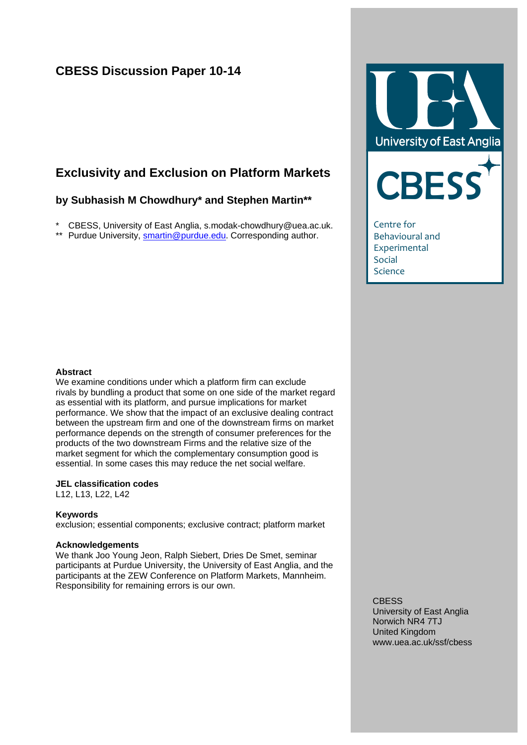# **CBESS Discussion Paper 10-14**

# **Exclusivity and Exclusion on Platform Markets**

## **by Subhasish M Chowdhury\* and Stephen Martin\*\***

\* CBESS, University of East Anglia, s.modak-chowdhury@uea.ac.uk.

\*\* Purdue University, [smartin@purdue.edu.](mailto:smartin@purdue.edu) Corresponding author.



Behavioural and Experimental Social Science

#### **Abstract**

We examine conditions under which a platform firm can exclude rivals by bundling a product that some on one side of the market regard as essential with its platform, and pursue implications for market performance. We show that the impact of an exclusive dealing contract between the upstream firm and one of the downstream firms on market performance depends on the strength of consumer preferences for the products of the two downstream Firms and the relative size of the market segment for which the complementary consumption good is essential. In some cases this may reduce the net social welfare.

### **JEL classification codes**

L12, L13, L22, L42

### **Keywords**

exclusion; essential components; exclusive contract; platform market

### **Acknowledgements**

We thank Joo Young Jeon, Ralph Siebert, Dries De Smet, seminar participants at Purdue University, the University of East Anglia, and the participants at the ZEW Conference on Platform Markets, Mannheim. Responsibility for remaining errors is our own.

> **CBESS** University of East Anglia Norwich NR4 7TJ United Kingdom www.uea.ac.uk/ssf/cbess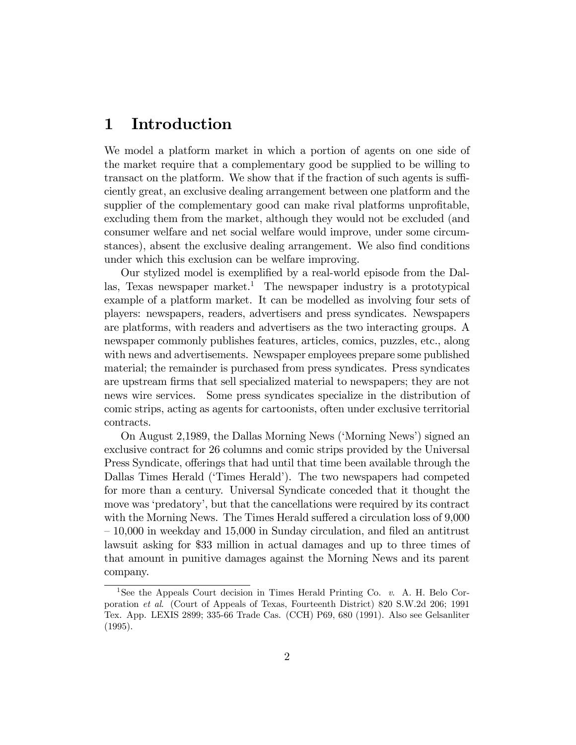# 1 Introduction

We model a platform market in which a portion of agents on one side of the market require that a complementary good be supplied to be willing to transact on the platform. We show that if the fraction of such agents is sufficiently great, an exclusive dealing arrangement between one platform and the supplier of the complementary good can make rival platforms unprofitable, excluding them from the market, although they would not be excluded (and consumer welfare and net social welfare would improve, under some circumstances), absent the exclusive dealing arrangement. We also find conditions under which this exclusion can be welfare improving.

Our stylized model is exemplified by a real-world episode from the Dallas, Texas newspaper market.<sup>1</sup> The newspaper industry is a prototypical example of a platform market. It can be modelled as involving four sets of players: newspapers, readers, advertisers and press syndicates. Newspapers are platforms, with readers and advertisers as the two interacting groups. A newspaper commonly publishes features, articles, comics, puzzles, etc., along with news and advertisements. Newspaper employees prepare some published material; the remainder is purchased from press syndicates. Press syndicates are upstream firms that sell specialized material to newspapers; they are not news wire services. Some press syndicates specialize in the distribution of comic strips, acting as agents for cartoonists, often under exclusive territorial contracts.

On August 2,1989, the Dallas Morning News ('Morning News') signed an exclusive contract for 26 columns and comic strips provided by the Universal Press Syndicate, offerings that had until that time been available through the Dallas Times Herald ('Times Herald'). The two newspapers had competed for more than a century. Universal Syndicate conceded that it thought the move was 'predatory', but that the cancellations were required by its contract with the Morning News. The Times Herald suffered a circulation loss of 9,000  $-10,000$  in weekday and 15,000 in Sunday circulation, and filed an antitrust lawsuit asking for \$33 million in actual damages and up to three times of that amount in punitive damages against the Morning News and its parent company.

<sup>&</sup>lt;sup>1</sup>See the Appeals Court decision in Times Herald Printing Co. v. A. H. Belo Corporation et al. (Court of Appeals of Texas, Fourteenth District) 820 S.W.2d 206; 1991 Tex. App. LEXIS 2899; 335-66 Trade Cas. (CCH) P69, 680 (1991). Also see Gelsanliter (1995).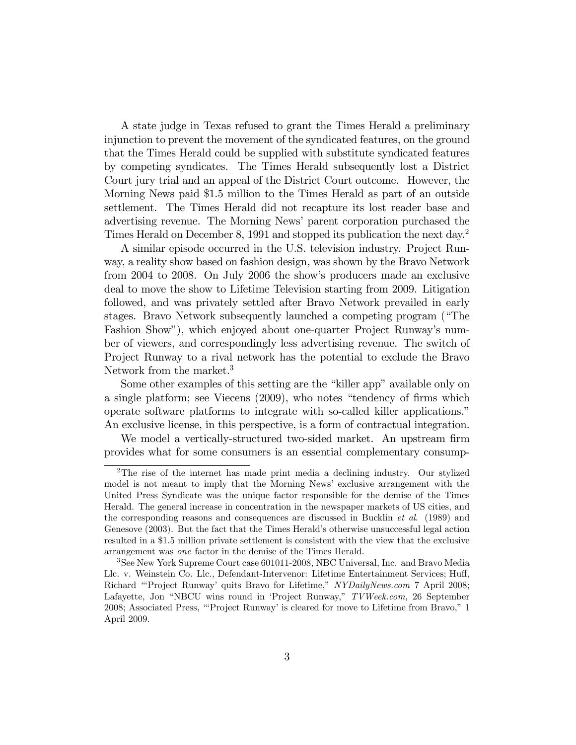A state judge in Texas refused to grant the Times Herald a preliminary injunction to prevent the movement of the syndicated features, on the ground that the Times Herald could be supplied with substitute syndicated features by competing syndicates. The Times Herald subsequently lost a District Court jury trial and an appeal of the District Court outcome. However, the Morning News paid \$1.5 million to the Times Herald as part of an outside settlement. The Times Herald did not recapture its lost reader base and advertising revenue. The Morning News' parent corporation purchased the Times Herald on December 8, 1991 and stopped its publication the next day.<sup>2</sup>

A similar episode occurred in the U.S. television industry. Project Runway, a reality show based on fashion design, was shown by the Bravo Network from 2004 to 2008. On July 2006 the showís producers made an exclusive deal to move the show to Lifetime Television starting from 2009. Litigation followed, and was privately settled after Bravo Network prevailed in early stages. Bravo Network subsequently launched a competing program ("The Fashion Show"), which enjoyed about one-quarter Project Runway's number of viewers, and correspondingly less advertising revenue. The switch of Project Runway to a rival network has the potential to exclude the Bravo Network from the market.<sup>3</sup>

Some other examples of this setting are the "killer app" available only on a single platform; see Viecens  $(2009)$ , who notes "tendency of firms which operate software platforms to integrate with so-called killer applications.<sup>"</sup> An exclusive license, in this perspective, is a form of contractual integration.

We model a vertically-structured two-sided market. An upstream firm provides what for some consumers is an essential complementary consump-

<sup>&</sup>lt;sup>2</sup>The rise of the internet has made print media a declining industry. Our stylized model is not meant to imply that the Morning News' exclusive arrangement with the United Press Syndicate was the unique factor responsible for the demise of the Times Herald. The general increase in concentration in the newspaper markets of US cities, and the corresponding reasons and consequences are discussed in Bucklin et al. (1989) and Genesove (2003). But the fact that the Times Herald's otherwise unsuccessful legal action resulted in a \$1.5 million private settlement is consistent with the view that the exclusive arrangement was one factor in the demise of the Times Herald.

<sup>3</sup>See New York Supreme Court case 601011-2008, NBC Universal, Inc. and Bravo Media Llc. v. Weinstein Co. Llc., Defendant-Intervenor: Lifetime Entertainment Services; Huff, Richard "Project Runway' quits Bravo for Lifetime," NYDailyNews.com 7 April 2008; Lafayette, Jon "NBCU wins round in 'Project Runway," TVWeek.com, 26 September 2008; Associated Press, "Project Runway' is cleared for move to Lifetime from Bravo,"  $1$ April 2009.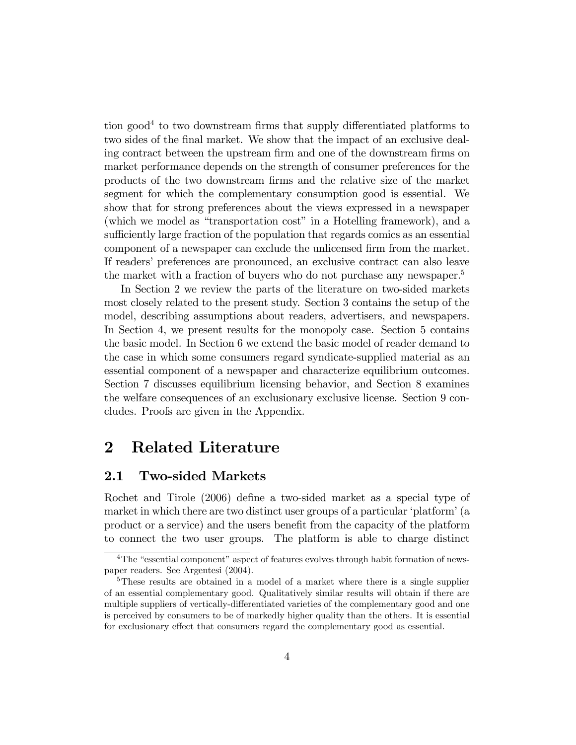tion good<sup>4</sup> to two downstream firms that supply differentiated platforms to two sides of the final market. We show that the impact of an exclusive dealing contract between the upstream firm and one of the downstream firms on market performance depends on the strength of consumer preferences for the products of the two downstream Örms and the relative size of the market segment for which the complementary consumption good is essential. We show that for strong preferences about the views expressed in a newspaper (which we model as "transportation cost" in a Hotelling framework), and a sufficiently large fraction of the population that regards comics as an essential component of a newspaper can exclude the unlicensed firm from the market. If readers' preferences are pronounced, an exclusive contract can also leave the market with a fraction of buyers who do not purchase any newspaper.<sup>5</sup>

In Section 2 we review the parts of the literature on two-sided markets most closely related to the present study. Section 3 contains the setup of the model, describing assumptions about readers, advertisers, and newspapers. In Section 4, we present results for the monopoly case. Section 5 contains the basic model. In Section 6 we extend the basic model of reader demand to the case in which some consumers regard syndicate-supplied material as an essential component of a newspaper and characterize equilibrium outcomes. Section 7 discusses equilibrium licensing behavior, and Section 8 examines the welfare consequences of an exclusionary exclusive license. Section 9 concludes. Proofs are given in the Appendix.

# 2 Related Literature

## 2.1 Two-sided Markets

Rochet and Tirole (2006) define a two-sided market as a special type of market in which there are two distinct user groups of a particular 'platform' (a product or a service) and the users benefit from the capacity of the platform to connect the two user groups. The platform is able to charge distinct

 $4$ The "essential component" aspect of features evolves through habit formation of newspaper readers. See Argentesi (2004).

<sup>&</sup>lt;sup>5</sup>These results are obtained in a model of a market where there is a single supplier of an essential complementary good. Qualitatively similar results will obtain if there are multiple suppliers of vertically-differentiated varieties of the complementary good and one is perceived by consumers to be of markedly higher quality than the others. It is essential for exclusionary effect that consumers regard the complementary good as essential.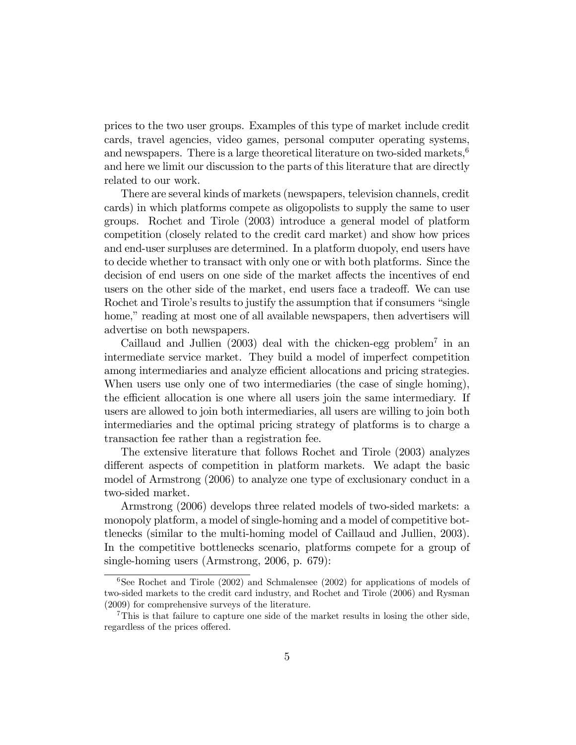prices to the two user groups. Examples of this type of market include credit cards, travel agencies, video games, personal computer operating systems, and newspapers. There is a large theoretical literature on two-sided markets, $6\overline{6}$ and here we limit our discussion to the parts of this literature that are directly related to our work.

There are several kinds of markets (newspapers, television channels, credit cards) in which platforms compete as oligopolists to supply the same to user groups. Rochet and Tirole (2003) introduce a general model of platform competition (closely related to the credit card market) and show how prices and end-user surpluses are determined. In a platform duopoly, end users have to decide whether to transact with only one or with both platforms. Since the decision of end users on one side of the market affects the incentives of end users on the other side of the market, end users face a tradeoff. We can use Rochet and Tirole's results to justify the assumption that if consumers "single" home," reading at most one of all available newspapers, then advertisers will advertise on both newspapers.

Caillaud and Jullien  $(2003)$  deal with the chicken-egg problem<sup>7</sup> in an intermediate service market. They build a model of imperfect competition among intermediaries and analyze efficient allocations and pricing strategies. When users use only one of two intermediaries (the case of single homing), the efficient allocation is one where all users join the same intermediary. If users are allowed to join both intermediaries, all users are willing to join both intermediaries and the optimal pricing strategy of platforms is to charge a transaction fee rather than a registration fee.

The extensive literature that follows Rochet and Tirole (2003) analyzes different aspects of competition in platform markets. We adapt the basic model of Armstrong (2006) to analyze one type of exclusionary conduct in a two-sided market.

Armstrong (2006) develops three related models of two-sided markets: a monopoly platform, a model of single-homing and a model of competitive bottlenecks (similar to the multi-homing model of Caillaud and Jullien, 2003). In the competitive bottlenecks scenario, platforms compete for a group of single-homing users (Armstrong, 2006, p. 679):

 $6$ See Rochet and Tirole (2002) and Schmalensee (2002) for applications of models of two-sided markets to the credit card industry, and Rochet and Tirole (2006) and Rysman (2009) for comprehensive surveys of the literature.

<sup>&</sup>lt;sup>7</sup>This is that failure to capture one side of the market results in losing the other side, regardless of the prices offered.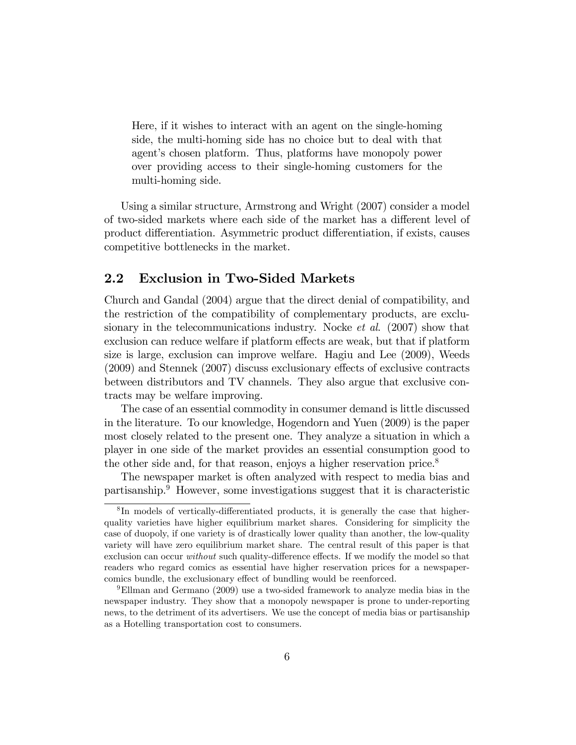Here, if it wishes to interact with an agent on the single-homing side, the multi-homing side has no choice but to deal with that agent's chosen platform. Thus, platforms have monopoly power over providing access to their single-homing customers for the multi-homing side.

Using a similar structure, Armstrong and Wright (2007) consider a model of two-sided markets where each side of the market has a different level of product differentiation. Asymmetric product differentiation, if exists, causes competitive bottlenecks in the market.

## 2.2 Exclusion in Two-Sided Markets

Church and Gandal (2004) argue that the direct denial of compatibility, and the restriction of the compatibility of complementary products, are exclusionary in the telecommunications industry. Nocke *et al.* (2007) show that exclusion can reduce welfare if platform effects are weak, but that if platform size is large, exclusion can improve welfare. Hagiu and Lee (2009), Weeds  $(2009)$  and Stennek  $(2007)$  discuss exclusionary effects of exclusive contracts between distributors and TV channels. They also argue that exclusive contracts may be welfare improving.

The case of an essential commodity in consumer demand is little discussed in the literature. To our knowledge, Hogendorn and Yuen (2009) is the paper most closely related to the present one. They analyze a situation in which a player in one side of the market provides an essential consumption good to the other side and, for that reason, enjoys a higher reservation price.<sup>8</sup>

The newspaper market is often analyzed with respect to media bias and partisanship.<sup>9</sup> However, some investigations suggest that it is characteristic

<sup>&</sup>lt;sup>8</sup>In models of vertically-differentiated products, it is generally the case that higherquality varieties have higher equilibrium market shares. Considering for simplicity the case of duopoly, if one variety is of drastically lower quality than another, the low-quality variety will have zero equilibrium market share. The central result of this paper is that exclusion can occur *without* such quality-difference effects. If we modify the model so that readers who regard comics as essential have higher reservation prices for a newspapercomics bundle, the exclusionary effect of bundling would be reenforced.

<sup>9</sup>Ellman and Germano (2009) use a two-sided framework to analyze media bias in the newspaper industry. They show that a monopoly newspaper is prone to under-reporting news, to the detriment of its advertisers. We use the concept of media bias or partisanship as a Hotelling transportation cost to consumers.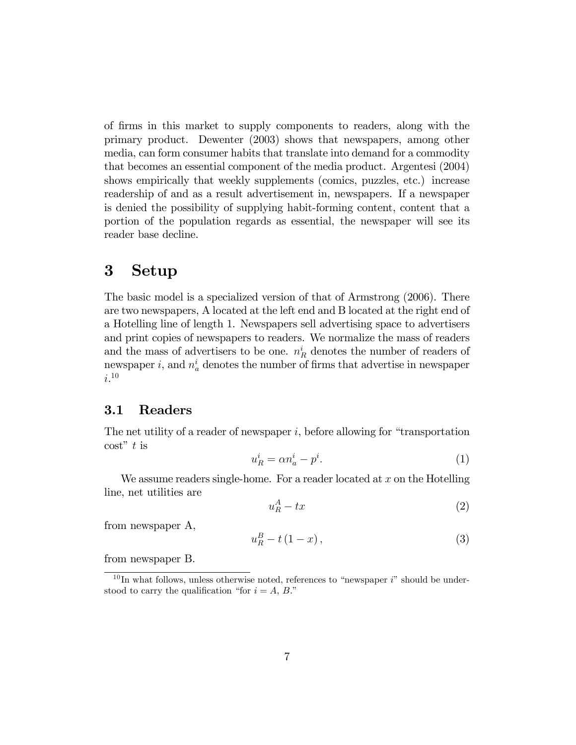of Örms in this market to supply components to readers, along with the primary product. Dewenter (2003) shows that newspapers, among other media, can form consumer habits that translate into demand for a commodity that becomes an essential component of the media product. Argentesi (2004) shows empirically that weekly supplements (comics, puzzles, etc.) increase readership of and as a result advertisement in, newspapers. If a newspaper is denied the possibility of supplying habit-forming content, content that a portion of the population regards as essential, the newspaper will see its reader base decline.

# 3 Setup

The basic model is a specialized version of that of Armstrong (2006). There are two newspapers, A located at the left end and B located at the right end of a Hotelling line of length 1. Newspapers sell advertising space to advertisers and print copies of newspapers to readers. We normalize the mass of readers and the mass of advertisers to be one.  $n_R^i$  denotes the number of readers of newspaper *i*, and  $n_a^i$  denotes the number of firms that advertise in newspaper  $i^{10}$ 

## 3.1 Readers

The net utility of a reader of newspaper  $i$ , before allowing for "transportation  $\cos t$ <sup>"</sup> t is

$$
u_R^i = \alpha n_a^i - p^i. \tag{1}
$$

We assume readers single-home. For a reader located at  $x$  on the Hotelling line, net utilities are

$$
u_R^A - tx \tag{2}
$$

from newspaper A,

$$
u_R^B - t(1-x), \tag{3}
$$

from newspaper B.

 $10$  In what follows, unless otherwise noted, references to "newspaper i" should be understood to carry the qualification "for  $i = A, B$ ."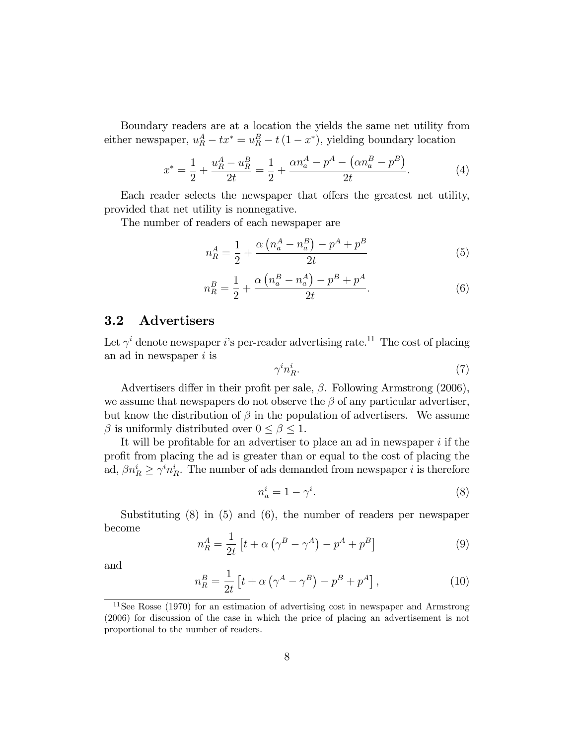Boundary readers are at a location the yields the same net utility from either newspaper,  $u_R^A - tx^* = u_R^B - t(1 - x^*)$ , yielding boundary location

$$
x^* = \frac{1}{2} + \frac{u_R^A - u_R^B}{2t} = \frac{1}{2} + \frac{\alpha n_a^A - p^A - (\alpha n_a^B - p^B)}{2t}.
$$
 (4)

Each reader selects the newspaper that offers the greatest net utility, provided that net utility is nonnegative.

The number of readers of each newspaper are

$$
n_R^A = \frac{1}{2} + \frac{\alpha \left( n_a^A - n_a^B \right) - p^A + p^B}{2t} \tag{5}
$$

$$
n_R^B = \frac{1}{2} + \frac{\alpha \left( n_a^B - n_a^A \right) - p^B + p^A}{2t}.
$$
\n(6)

## 3.2 Advertisers

Let  $\gamma^i$  denote newspaper *i*'s per-reader advertising rate.<sup>11</sup> The cost of placing an ad in newspaper  $i$  is

$$
\gamma^i n_R^i. \tag{7}
$$

Advertisers differ in their profit per sale,  $\beta$ . Following Armstrong (2006), we assume that newspapers do not observe the  $\beta$  of any particular advertiser, but know the distribution of  $\beta$  in the population of advertisers. We assume  $\beta$  is uniformly distributed over  $0 \leq \beta \leq 1$ .

It will be profitable for an advertiser to place an ad in newspaper  $i$  if the proÖt from placing the ad is greater than or equal to the cost of placing the ad,  $\beta n_R^i \geq \gamma^i n_R^i$ . The number of ads demanded from newspaper *i* is therefore

$$
n_a^i = 1 - \gamma^i. \tag{8}
$$

Substituting (8) in (5) and (6), the number of readers per newspaper become

$$
n_R^A = \frac{1}{2t} \left[ t + \alpha \left( \gamma^B - \gamma^A \right) - p^A + p^B \right] \tag{9}
$$

and

$$
n_R^B = \frac{1}{2t} \left[ t + \alpha \left( \gamma^A - \gamma^B \right) - p^B + p^A \right],\tag{10}
$$

<sup>11</sup>See Rosse (1970) for an estimation of advertising cost in newspaper and Armstrong (2006) for discussion of the case in which the price of placing an advertisement is not proportional to the number of readers.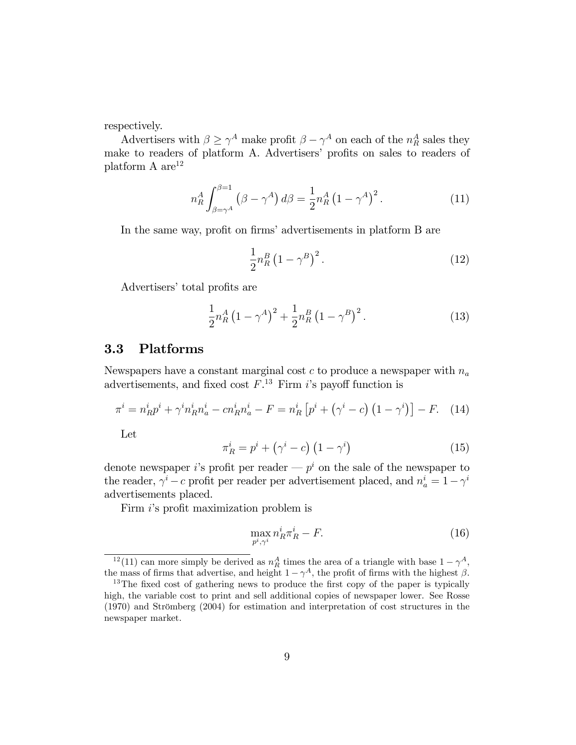respectively.

Advertisers with  $\beta \geq \gamma^A$  make profit  $\beta - \gamma^A$  on each of the  $n_R^A$  sales they make to readers of platform A. Advertisers' profits on sales to readers of platform A  $\rm{are}^{12}$ 

$$
n_R^A \int_{\beta=\gamma^A}^{\beta=1} \left(\beta - \gamma^A\right) d\beta = \frac{1}{2} n_R^A \left(1 - \gamma^A\right)^2. \tag{11}
$$

In the same way, profit on firms' advertisements in platform B are

$$
\frac{1}{2}n_R^B \left(1 - \gamma^B\right)^2. \tag{12}
$$

Advertisers' total profits are

$$
\frac{1}{2}n_{R}^{A}(1-\gamma^{A})^{2} + \frac{1}{2}n_{R}^{B}(1-\gamma^{B})^{2}.
$$
 (13)

## 3.3 Platforms

Newspapers have a constant marginal cost  $c$  to produce a newspaper with  $n_a$ advertisements, and fixed cost  $F^{13}$  Firm is payoff function is

$$
\pi^{i} = n_{R}^{i} p^{i} + \gamma^{i} n_{R}^{i} n_{a}^{i} - c n_{R}^{i} n_{a}^{i} - F = n_{R}^{i} \left[ p^{i} + (\gamma^{i} - c) \left( 1 - \gamma^{i} \right) \right] - F. \tag{14}
$$

Let

$$
\pi_R^i = p^i + \left(\gamma^i - c\right) \left(1 - \gamma^i\right) \tag{15}
$$

denote newspaper *i*'s profit per reader —  $p<sup>i</sup>$  on the sale of the newspaper to the reader,  $\gamma^{i} - c$  profit per reader per advertisement placed, and  $n_{a}^{i} = 1 - \gamma^{i}$ advertisements placed.

Firm *i*'s profit maximization problem is

$$
\max_{p^i, \gamma^i} n_R^i \pi_R^i - F. \tag{16}
$$

<sup>&</sup>lt;sup>12</sup>(11) can more simply be derived as  $n_R^A$  times the area of a triangle with base  $1 - \gamma^A$ , the mass of firms that advertise, and height  $1 - \gamma^A$ , the profit of firms with the highest  $\beta$ .

 $13$ The fixed cost of gathering news to produce the first copy of the paper is typically high, the variable cost to print and sell additional copies of newspaper lower. See Rosse  $(1970)$  and Strömberg  $(2004)$  for estimation and interpretation of cost structures in the newspaper market.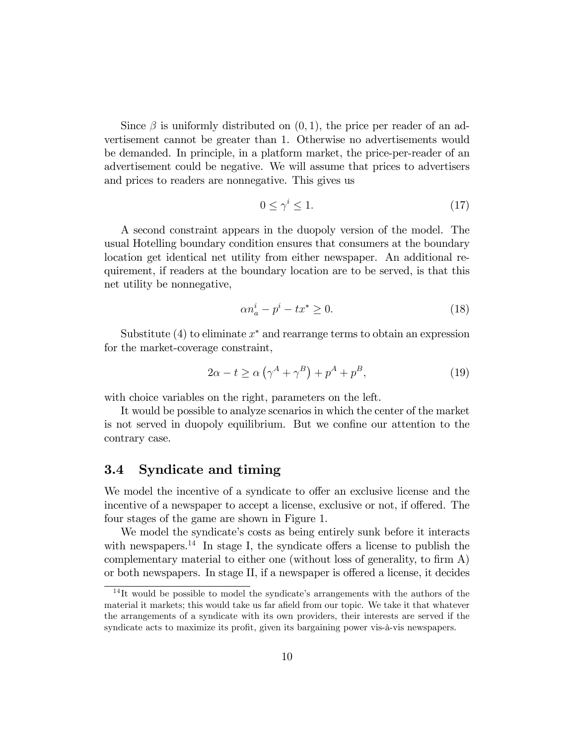Since  $\beta$  is uniformly distributed on  $(0, 1)$ , the price per reader of an advertisement cannot be greater than 1. Otherwise no advertisements would be demanded. In principle, in a platform market, the price-per-reader of an advertisement could be negative. We will assume that prices to advertisers and prices to readers are nonnegative. This gives us

$$
0 \le \gamma^i \le 1. \tag{17}
$$

A second constraint appears in the duopoly version of the model. The usual Hotelling boundary condition ensures that consumers at the boundary location get identical net utility from either newspaper. An additional requirement, if readers at the boundary location are to be served, is that this net utility be nonnegative,

$$
\alpha n_a^i - p^i - tx^* \ge 0. \tag{18}
$$

Substitute (4) to eliminate  $x^*$  and rearrange terms to obtain an expression for the market-coverage constraint,

$$
2\alpha - t \ge \alpha \left(\gamma^A + \gamma^B\right) + p^A + p^B,\tag{19}
$$

with choice variables on the right, parameters on the left.

It would be possible to analyze scenarios in which the center of the market is not served in duopoly equilibrium. But we confine our attention to the contrary case.

## 3.4 Syndicate and timing

We model the incentive of a syndicate to offer an exclusive license and the incentive of a newspaper to accept a license, exclusive or not, if offered. The four stages of the game are shown in Figure 1.

We model the syndicate's costs as being entirely sunk before it interacts with newspapers.<sup>14</sup> In stage I, the syndicate offers a license to publish the complementary material to either one (without loss of generality, to firm  $A$ ) or both newspapers. In stage II, if a newspaper is offered a license, it decides

 $14$ It would be possible to model the syndicate's arrangements with the authors of the material it markets; this would take us far afield from our topic. We take it that whatever the arrangements of a syndicate with its own providers, their interests are served if the syndicate acts to maximize its profit, given its bargaining power vis- $\ddot{a}$ -vis newspapers.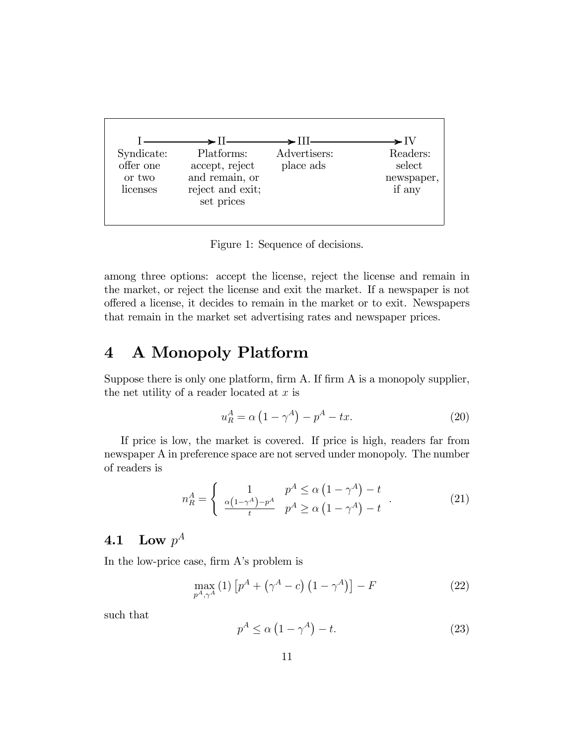

Figure 1: Sequence of decisions.

among three options: accept the license, reject the license and remain in the market, or reject the license and exit the market. If a newspaper is not offered a license, it decides to remain in the market or to exit. Newspapers that remain in the market set advertising rates and newspaper prices.

#### **A Monopoly Platform**  $\boldsymbol{4}$

Suppose there is only one platform, firm A. If firm A is a monopoly supplier, the net utility of a reader located at  $x$  is

$$
u_R^A = \alpha \left( 1 - \gamma^A \right) - p^A - tx. \tag{20}
$$

If price is low, the market is covered. If price is high, readers far from newspaper A in preference space are not served under monopoly. The number of readers is

$$
n_R^A = \begin{cases} 1 & p^A \le \alpha \left(1 - \gamma^A\right) - t \\ \frac{\alpha \left(1 - \gamma^A\right) - p^A}{t} & p^A \ge \alpha \left(1 - \gamma^A\right) - t \end{cases} \tag{21}
$$

#### Low  $p^A$ 4.1

In the low-price case, firm A's problem is

$$
\max_{p^A, \gamma^A} (1) \left[ p^A + \left( \gamma^A - c \right) \left( 1 - \gamma^A \right) \right] - F \tag{22}
$$

such that

$$
p^A \le \alpha \left(1 - \gamma^A\right) - t. \tag{23}
$$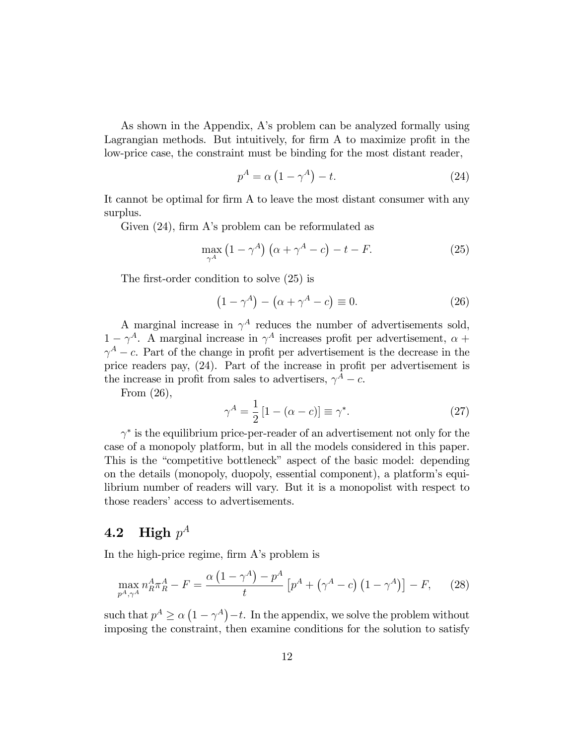As shown in the Appendix, A's problem can be analyzed formally using Lagrangian methods. But intuitively, for firm A to maximize profit in the low-price case, the constraint must be binding for the most distant reader,

$$
p^A = \alpha \left( 1 - \gamma^A \right) - t. \tag{24}
$$

It cannot be optimal for firm A to leave the most distant consumer with any surplus.

Given  $(24)$ , firm A's problem can be reformulated as

$$
\max_{\gamma^A} \left( 1 - \gamma^A \right) \left( \alpha + \gamma^A - c \right) - t - F. \tag{25}
$$

The first-order condition to solve  $(25)$  is

$$
(1 - \gamma^A) - (\alpha + \gamma^A - c) \equiv 0.
$$
 (26)

A marginal increase in  $\gamma^A$  reduces the number of advertisements sold,  $1 - \gamma^A$ . A marginal increase in  $\gamma^A$  increases profit per advertisement,  $\alpha +$  $\gamma^A$  – c. Part of the change in profit per advertisement is the decrease in the price readers pay,  $(24)$ . Part of the increase in profit per advertisement is the increase in profit from sales to advertisers,  $\gamma^A - c$ .

From (26),

$$
\gamma^A = \frac{1}{2} \left[ 1 - (\alpha - c) \right] \equiv \gamma^*.
$$
 (27)

 $\gamma^*$  is the equilibrium price-per-reader of an advertisement not only for the case of a monopoly platform, but in all the models considered in this paper. This is the "competitive bottleneck" aspect of the basic model: depending on the details (monopoly, duopoly, essential component), a platformís equilibrium number of readers will vary. But it is a monopolist with respect to those readers' access to advertisements.

# $\mathbf{4.2} \quad \textbf{High} \,\, p^A$

In the high-price regime, firm A's problem is

$$
\max_{p^A, \gamma^A} n_R^A \pi_R^A - F = \frac{\alpha \left( 1 - \gamma^A \right) - p^A}{t} \left[ p^A + \left( \gamma^A - c \right) \left( 1 - \gamma^A \right) \right] - F,\tag{28}
$$

such that  $p^A \ge \alpha \left(1 - \gamma^A\right) - t$ . In the appendix, we solve the problem without imposing the constraint, then examine conditions for the solution to satisfy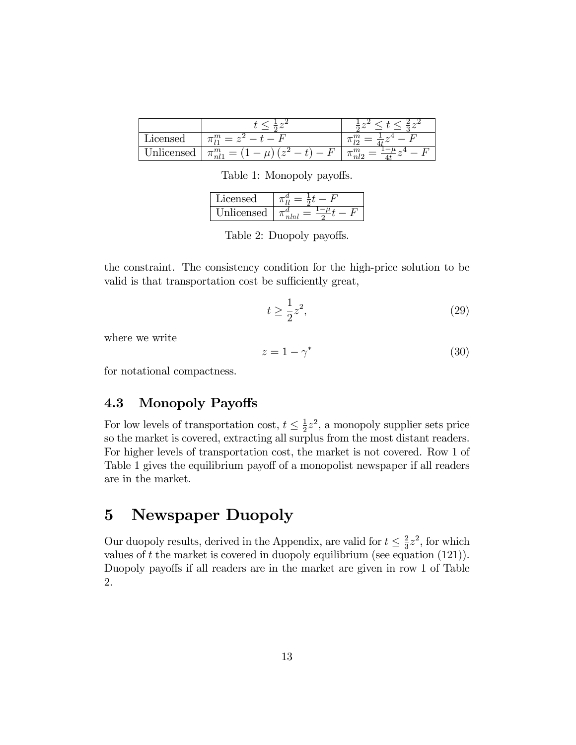| acer<br>$\sim$ $\sim$ $\sim$ | $\cdots$                                             |        |
|------------------------------|------------------------------------------------------|--------|
| <b>Box</b><br>$\alpha$       | m<br>–<br>∼<br>$7 -$<br>nl<br>$\tilde{}$<br>$\cdots$ | $\sim$ |

Table 1: Monopoly payoffs.

| acensed |  |
|---------|--|
| icensed |  |

Table 2: Duopoly payoffs.

the constraint. The consistency condition for the high-price solution to be valid is that transportation cost be sufficiently great,

$$
t \ge \frac{1}{2}z^2,\tag{29}
$$

where we write

$$
z = 1 - \gamma^* \tag{30}
$$

for notational compactness.

## 4.3 Monopoly Payoffs

For low levels of transportation cost,  $t \leq \frac{1}{2}$  $\frac{1}{2}z^2$ , a monopoly supplier sets price so the market is covered, extracting all surplus from the most distant readers. For higher levels of transportation cost, the market is not covered. Row 1 of Table 1 gives the equilibrium payoff of a monopolist newspaper if all readers are in the market.

# 5 Newspaper Duopoly

Our duopoly results, derived in the Appendix, are valid for  $t \leq \frac{2}{3}$  $\frac{2}{3}z^2$ , for which values of  $t$  the market is covered in duopoly equilibrium (see equation  $(121)$ ). Duopoly payoffs if all readers are in the market are given in row 1 of Table 2.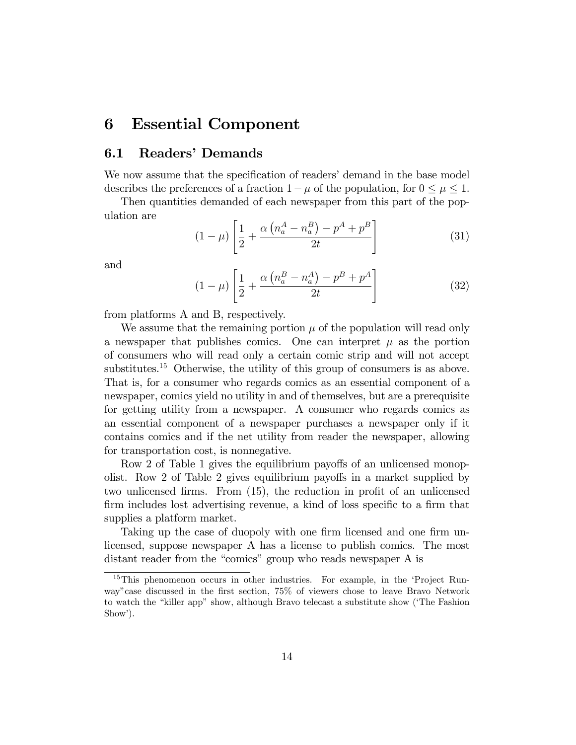# 6 Essential Component

## 6.1 Readers' Demands

We now assume that the specification of readers' demand in the base model describes the preferences of a fraction  $1 - \mu$  of the population, for  $0 \le \mu \le 1$ .

Then quantities demanded of each newspaper from this part of the population are

$$
(1 - \mu) \left[ \frac{1}{2} + \frac{\alpha \left( n_a^A - n_a^B \right) - p^A + p^B}{2t} \right] \tag{31}
$$

and

$$
(1 - \mu) \left[ \frac{1}{2} + \frac{\alpha \left( n_a^B - n_a^A \right) - p^B + p^A}{2t} \right]
$$
 (32)

from platforms A and B, respectively.

We assume that the remaining portion  $\mu$  of the population will read only a newspaper that publishes comics. One can interpret  $\mu$  as the portion of consumers who will read only a certain comic strip and will not accept substitutes.<sup>15</sup> Otherwise, the utility of this group of consumers is as above. That is, for a consumer who regards comics as an essential component of a newspaper, comics yield no utility in and of themselves, but are a prerequisite for getting utility from a newspaper. A consumer who regards comics as an essential component of a newspaper purchases a newspaper only if it contains comics and if the net utility from reader the newspaper, allowing for transportation cost, is nonnegative.

Row 2 of Table 1 gives the equilibrium payoffs of an unlicensed monopolist. Row 2 of Table 2 gives equilibrium payoffs in a market supplied by two unlicensed firms. From  $(15)$ , the reduction in profit of an unlicensed firm includes lost advertising revenue, a kind of loss specific to a firm that supplies a platform market.

Taking up the case of duopoly with one firm licensed and one firm unlicensed, suppose newspaper A has a license to publish comics. The most distant reader from the "comics" group who reads newspaper A is

<sup>&</sup>lt;sup>15</sup>This phenomenon occurs in other industries. For example, in the 'Project Runway"case discussed in the first section,  $75\%$  of viewers chose to leave Bravo Network to watch the "killer app" show, although Bravo telecast a substitute show (The Fashion Show').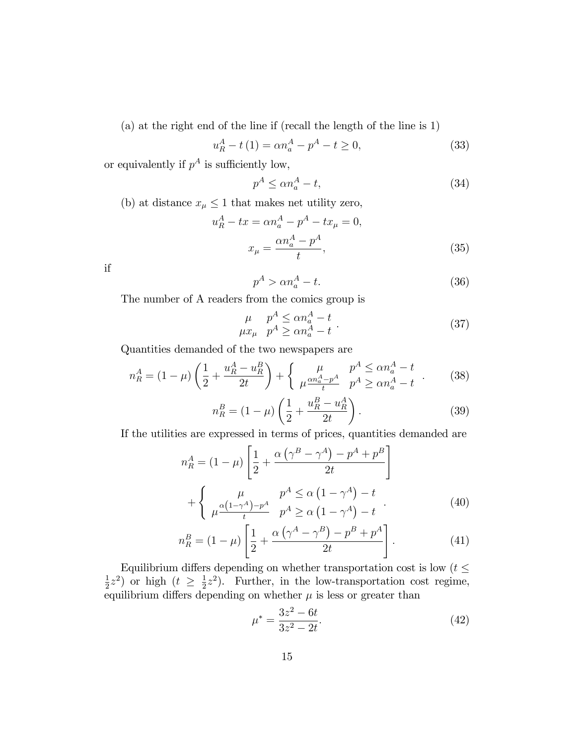(a) at the right end of the line if (recall the length of the line is 1)

$$
u_R^A - t(1) = \alpha n_a^A - p^A - t \ge 0,
$$
\n(33)

or equivalently if  $p^A$  is sufficiently low,

$$
p^A \le \alpha n_a^A - t,\tag{34}
$$

(b) at distance  $x_\mu \leq 1$  that makes net utility zero,

$$
u_R^A - tx = \alpha n_a^A - p^A - tx_\mu = 0,
$$
  

$$
x_\mu = \frac{\alpha n_a^A - p^A}{t},
$$
 (35)

if

$$
p^A > \alpha n_a^A - t. \tag{36}
$$

The number of A readers from the comics group is

$$
\mu \quad p^A \le \alpha n_a^A - t \n\mu x_\mu \quad p^A \ge \alpha n_a^A - t
$$
\n(37)

Quantities demanded of the two newspapers are

$$
n_R^A = (1 - \mu) \left( \frac{1}{2} + \frac{u_R^A - u_R^B}{2t} \right) + \left\{ \mu \frac{\mu}{\mu} \frac{m_a^A - p^A}{t} \frac{p^A \le \alpha n_a^A - t}{p^A \ge \alpha n_a^A - t} \right. \tag{38}
$$

$$
n_R^B = (1 - \mu) \left( \frac{1}{2} + \frac{u_R^B - u_R^A}{2t} \right). \tag{39}
$$

If the utilities are expressed in terms of prices, quantities demanded are

$$
n_R^A = (1 - \mu) \left[ \frac{1}{2} + \frac{\alpha \left( \gamma^B - \gamma^A \right) - p^A + p^B}{2t} \right]
$$

$$
+ \left\{ \mu \frac{\alpha \left( 1 - \gamma^A \right) - p^A}{t} \quad p^A \ge \alpha \left( 1 - \gamma^A \right) - t \right\}
$$

$$
\left[ \mu \frac{\alpha \left( 1 - \gamma^A \right) - p^A}{t} \quad p^A \ge \alpha \left( 1 - \gamma^A \right) - t \right] \tag{40}
$$

$$
n_R^B = (1 - \mu) \left[ \frac{1}{2} + \frac{\alpha (\gamma^A - \gamma^B) - p^B + p^A}{2t} \right].
$$
 (41)

Equilibrium differs depending on whether transportation cost is low ( $t\leq$ 1  $(\frac{1}{2}z^2)$  or high  $(t \geq \frac{1}{2})$  $\frac{1}{2}z^2$ ). Further, in the low-transportation cost regime, equilibrium differs depending on whether  $\mu$  is less or greater than

$$
\mu^* = \frac{3z^2 - 6t}{3z^2 - 2t}.\tag{42}
$$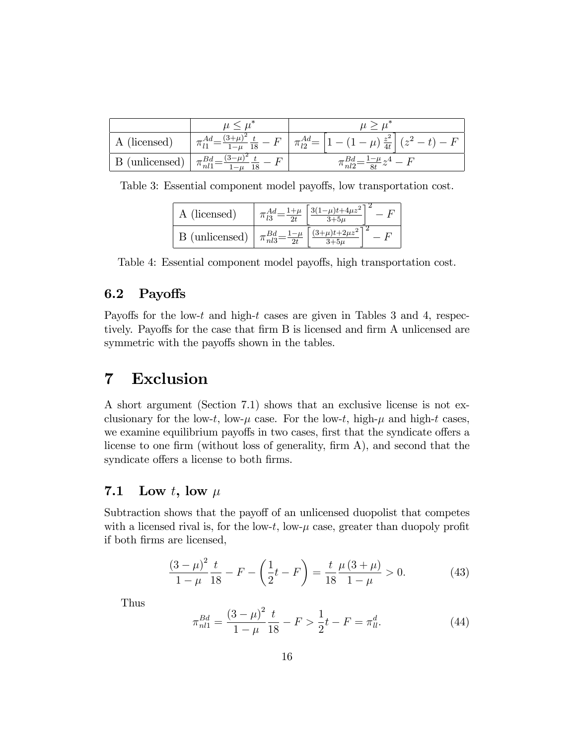| licensed          | ັດ<br>$\cdots$<br>18            | $z^2$<br>$\Gamma$<br>10<br>$\mu$<br>4t<br>$\tilde{\phantom{a}}$ |
|-------------------|---------------------------------|-----------------------------------------------------------------|
| (unlicensed)<br>D | nl1<br>$\overline{\phantom{a}}$ | nt2                                                             |

Table 3: Essential component model payoffs, low transportation cost.

| A (licensed)   | $\int 3(1-\mu)t+4\mu z^2$ |  |
|----------------|---------------------------|--|
| B (unlicensed) | $\int (3+\mu)t+2\mu z^2$  |  |

Table 4: Essential component model payoffs, high transportation cost.

# 6.2 Payoffs

Payoffs for the low-t and high-t cases are given in Tables 3 and 4, respectively. Payoffs for the case that firm B is licensed and firm A unlicensed are symmetric with the payoffs shown in the tables.

# 7 Exclusion

A short argument (Section 7.1) shows that an exclusive license is not exclusionary for the low-t, low- $\mu$  case. For the low-t, high- $\mu$  and high-t cases, we examine equilibrium payoffs in two cases, first that the syndicate offers a license to one firm (without loss of generality, firm  $A$ ), and second that the syndicate offers a license to both firms.

# 7.1 Low t, low  $\mu$

Subtraction shows that the payoff of an unlicensed duopolist that competes with a licensed rival is, for the low- $t$ , low- $\mu$  case, greater than duopoly profit if both Örms are licensed,

$$
\frac{(3-\mu)^2}{1-\mu}\frac{t}{18} - F - \left(\frac{1}{2}t - F\right) = \frac{t}{18}\frac{\mu(3+\mu)}{1-\mu} > 0.
$$
 (43)

Thus

$$
\pi_{nl1}^{Bd} = \frac{(3-\mu)^2}{1-\mu} \frac{t}{18} - F > \frac{1}{2}t - F = \pi_{ll}^d.
$$
\n(44)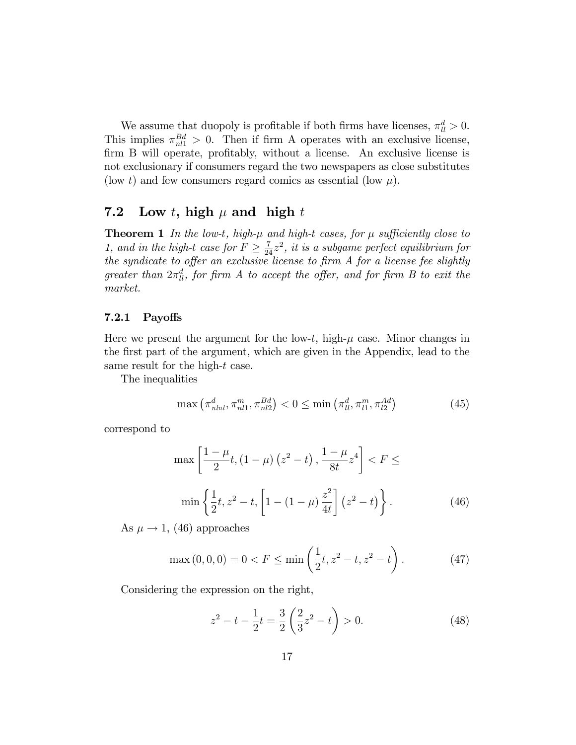We assume that duopoly is profitable if both firms have licenses,  $\pi_{ll}^d > 0$ . This implies  $\pi_{nl1}^{Bd} > 0$ . Then if firm A operates with an exclusive license, firm B will operate, profitably, without a license. An exclusive license is not exclusionary if consumers regard the two newspapers as close substitutes (low t) and few consumers regard comics as essential (low  $\mu$ ).

## 7.2 Low t, high  $\mu$  and high t

**Theorem 1** In the low-t, high- $\mu$  and high-t cases, for  $\mu$  sufficiently close to 1, and in the high-t case for  $F \geq \frac{7}{24}z^2$ , it is a subgame perfect equilibrium for the syndicate to offer an exclusive license to firm  $A$  for a license fee slightly greater than  $2\pi_{ll}^d$ , for firm A to accept the offer, and for firm B to exit the market.

### 7.2.1 Payoffs

Here we present the argument for the low-t, high- $\mu$  case. Minor changes in the Örst part of the argument, which are given in the Appendix, lead to the same result for the high-t case.

The inequalities

$$
\max\left(\pi_{nlnl}^d, \pi_{nl1}^m, \pi_{nl2}^{Bd}\right) < 0 \le \min\left(\pi_{ll}^d, \pi_{l1}^m, \pi_{l2}^{Ad}\right) \tag{45}
$$

correspond to

$$
\max\left[\frac{1-\mu}{2}t, (1-\mu)(z^2-t), \frac{1-\mu}{8t}z^4\right] < F \le \min\left\{\frac{1}{2}t, z^2-t, \left[1-(1-\mu)\frac{z^2}{4t}\right](z^2-t)\right\}.
$$
\n(46)

As  $\mu \rightarrow 1$ , (46) approaches

$$
\max(0,0,0) = 0 < F \le \min\left(\frac{1}{2}t, z^2 - t, z^2 - t\right). \tag{47}
$$

Considering the expression on the right,

$$
z^{2} - t - \frac{1}{2}t = \frac{3}{2} \left(\frac{2}{3}z^{2} - t\right) > 0.
$$
 (48)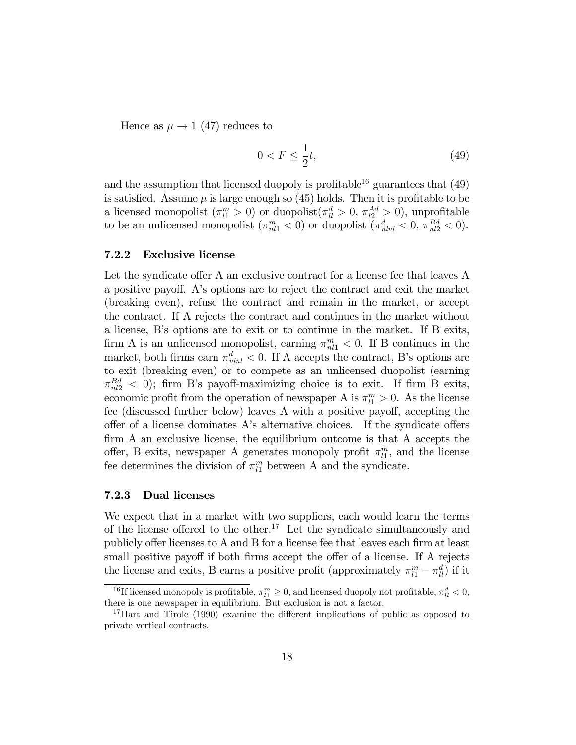Hence as  $\mu \rightarrow 1$  (47) reduces to

$$
0 < F \le \frac{1}{2}t,\tag{49}
$$

and the assumption that licensed duopoly is profitable<sup>16</sup> guarantees that  $(49)$ is satisfied. Assume  $\mu$  is large enough so (45) holds. Then it is profitable to be a licensed monopolist  $(\pi_{l1}^m > 0)$  or duopolist $(\pi_{ll}^d > 0, \pi_{l2}^{Ad} > 0)$ , unprofitable to be an unlicensed monopolist  $(\pi_{n1}^m < 0)$  or duopolist  $(\pi_{n1}^d < 0, \pi_{n2}^B < 0)$ .

### 7.2.2 Exclusive license

Let the syndicate offer A an exclusive contract for a license fee that leaves A a positive payo§. Aís options are to reject the contract and exit the market (breaking even), refuse the contract and remain in the market, or accept the contract. If A rejects the contract and continues in the market without a license, Bís options are to exit or to continue in the market. If B exits, firm A is an unlicensed monopolist, earning  $\pi_{n1}^m < 0$ . If B continues in the market, both firms earn  $\pi_{nlnl}^d < 0$ . If A accepts the contract, B's options are to exit (breaking even) or to compete as an unlicensed duopolist (earning  $\pi_{nl2}^{Bd}$  < 0); firm B's payoff-maximizing choice is to exit. If firm B exits, economic profit from the operation of newspaper A is  $\pi_{l1}^{m} > 0$ . As the license fee (discussed further below) leaves A with a positive payoff, accepting the offer of a license dominates  $A$ 's alternative choices. If the syndicate offers  $f_{\text{lim}}$  A an exclusive license, the equilibrium outcome is that A accepts the offer, B exits, newspaper A generates monopoly profit  $\pi_{l1}^m$ , and the license fee determines the division of  $\pi_{l1}^m$  between A and the syndicate.

#### 7.2.3 Dual licenses

We expect that in a market with two suppliers, each would learn the terms of the license offered to the other.<sup>17</sup> Let the syndicate simultaneously and publicly offer licenses to A and B for a license fee that leaves each firm at least small positive payoff if both firms accept the offer of a license. If A rejects the license and exits, B earns a positive profit (approximately  $\pi_{l1}^m - \pi_{ll}^d$ ) if it

<sup>&</sup>lt;sup>16</sup>If licensed monopoly is profitable,  $\pi_{l1}^m \geq 0$ , and licensed duopoly not profitable,  $\pi_{ll}^d < 0$ , there is one newspaper in equilibrium. But exclusion is not a factor.

<sup>&</sup>lt;sup>17</sup>Hart and Tirole (1990) examine the different implications of public as opposed to private vertical contracts.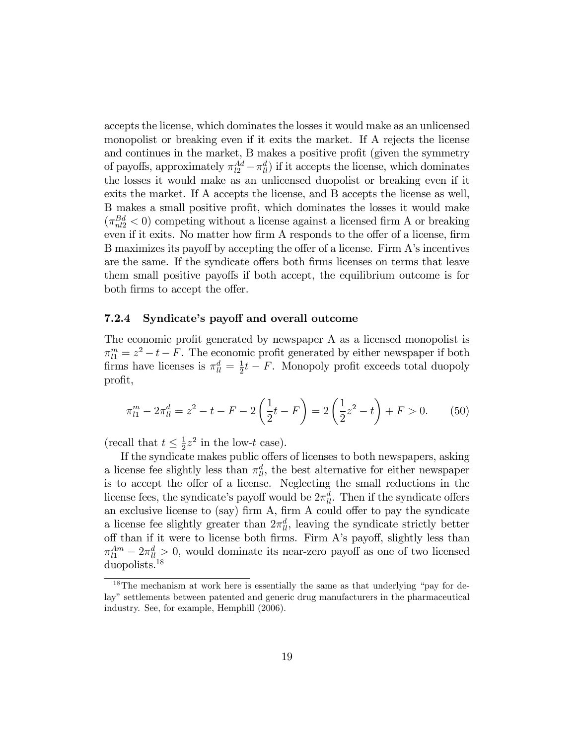accepts the license, which dominates the losses it would make as an unlicensed monopolist or breaking even if it exits the market. If A rejects the license and continues in the market, B makes a positive profit (given the symmetry of payoffs, approximately  $\pi_{l2}^{Ad} - \pi_{ll}^{d}$  if it accepts the license, which dominates the losses it would make as an unlicensed duopolist or breaking even if it exits the market. If A accepts the license, and B accepts the license as well, B makes a small positive profit, which dominates the losses it would make  $(\pi_{nl2}^{Bd} < 0)$  competing without a license against a licensed firm A or breaking even if it exits. No matter how firm A responds to the offer of a license, firm B maximizes its payoff by accepting the offer of a license. Firm A's incentives are the same. If the syndicate offers both firms licenses on terms that leave them small positive payoffs if both accept, the equilibrium outcome is for both firms to accept the offer.

#### 7.2.4 Syndicate's payoff and overall outcome

The economic profit generated by newspaper A as a licensed monopolist is  $\pi_{l1}^{m} = z^2 - t - F$ . The economic profit generated by either newspaper if both firms have licenses is  $\pi_{ll}^d = \frac{1}{2}$  $\frac{1}{2}t - F$ . Monopoly profit exceeds total duopoly profit,

$$
\pi_{l1}^m - 2\pi_{ll}^d = z^2 - t - F - 2\left(\frac{1}{2}t - F\right) = 2\left(\frac{1}{2}z^2 - t\right) + F > 0. \tag{50}
$$

(recall that  $t \leq \frac{1}{2}$ )  $\frac{1}{2}z^2$  in the low-t case).

If the syndicate makes public offers of licenses to both newspapers, asking a license fee slightly less than  $\pi_{ll}^d$ , the best alternative for either newspaper is to accept the offer of a license. Neglecting the small reductions in the license fees, the syndicate's payoff would be  $2\pi u$ . Then if the syndicate offers an exclusive license to (say) firm  $A$ , firm  $A$  could offer to pay the syndicate a license fee slightly greater than  $2\pi_l^d$ , leaving the syndicate strictly better off than if it were to license both firms. Firm A's payoff, slightly less than  $\pi_{l1}^{Am} - 2\pi_{l1}^{d} > 0$ , would dominate its near-zero payoff as one of two licensed duopolists.<sup>18</sup>

 $18$ The mechanism at work here is essentially the same as that underlying "pay for delay" settlements between patented and generic drug manufacturers in the pharmaceutical industry. See, for example, Hemphill (2006).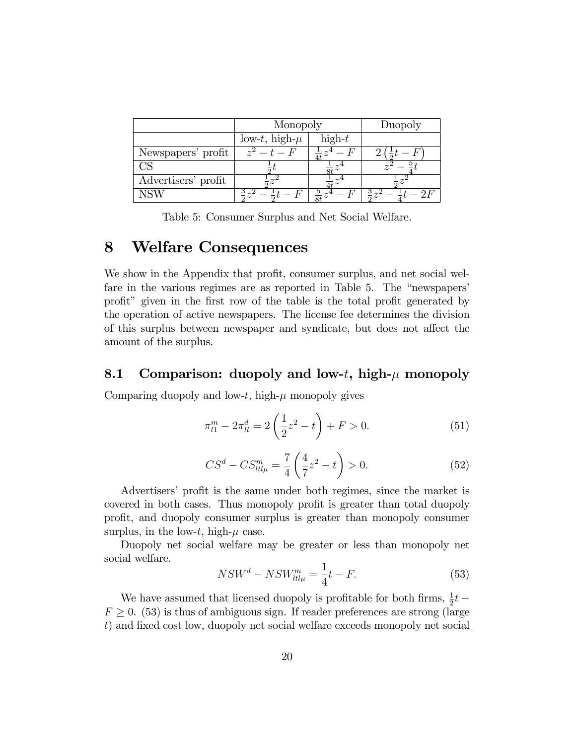|                     | Monopoly           |          | Duopoly |
|---------------------|--------------------|----------|---------|
|                     | low-t, high- $\mu$ | $high-t$ |         |
| Newspapers' profit  | $z^2-t$            |          |         |
|                     |                    |          |         |
| Advertisers' profit |                    |          |         |
| NSW                 |                    |          |         |

Table 5: Consumer Surplus and Net Social Welfare.

#### 8 **Welfare Consequences**

We show in the Appendix that profit, consumer surplus, and net social welfare in the various regimes are as reported in Table 5. The "newspapers" profit" given in the first row of the table is the total profit generated by the operation of active newspapers. The license fee determines the division of this surplus between newspaper and syndicate, but does not affect the amount of the surplus.

#### 8.1 Comparison: duopoly and low-t, high- $\mu$  monopoly

Comparing duopoly and low-t, high- $\mu$  monopoly gives

$$
\pi_{l1}^m - 2\pi_{ll}^d = 2\left(\frac{1}{2}z^2 - t\right) + F > 0.
$$
\n(51)

$$
CS^d - CS^m_{tt\mu} = \frac{7}{4} \left( \frac{4}{7} z^2 - t \right) > 0.
$$
 (52)

Advertisers' profit is the same under both regimes, since the market is covered in both cases. Thus monopoly profit is greater than total duopoly profit, and duopoly consumer surplus is greater than monopoly consumer surplus, in the low-t, high- $\mu$  case.

Duopoly net social welfare may be greater or less than monopoly net social welfare.

$$
NSW^{d} - NSW_{tt\mu}^{m} = \frac{1}{4}t - F.
$$
\n(53)

We have assumed that licensed duopoly is profitable for both firms,<br>  $\frac{1}{2}t$   $F \geq 0$ . (53) is thus of ambiguous sign. If reader preferences are strong (large t) and fixed cost low, duopoly net social welfare exceeds monopoly net social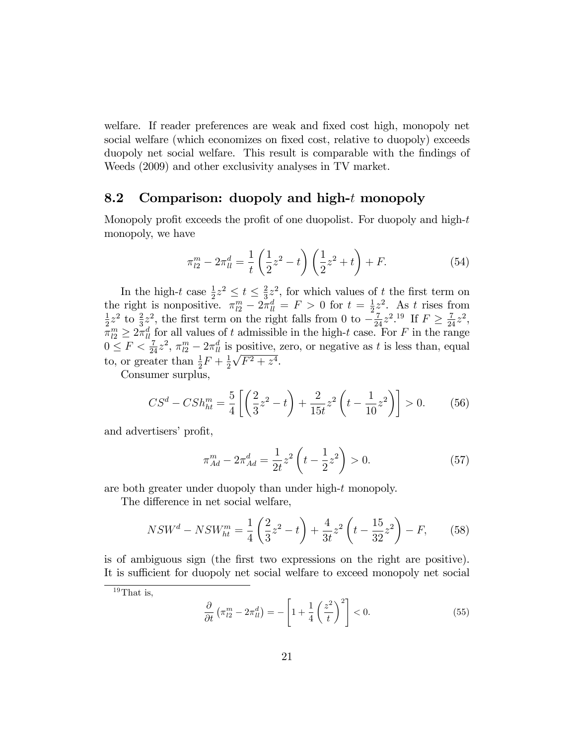welfare. If reader preferences are weak and fixed cost high, monopoly net social welfare (which economizes on fixed cost, relative to duopoly) exceeds duopoly net social welfare. This result is comparable with the findings of Weeds (2009) and other exclusivity analyses in TV market.

## 8.2 Comparison: duopoly and high-t monopoly

Monopoly profit exceeds the profit of one duopolist. For duopoly and high- $t$ monopoly, we have

$$
\pi_{l2}^m - 2\pi_{ll}^d = \frac{1}{t} \left(\frac{1}{2}z^2 - t\right) \left(\frac{1}{2}z^2 + t\right) + F. \tag{54}
$$

In the high-t case  $\frac{1}{2}z^2 \leq t \leq \frac{2}{3}$  $\frac{2}{3}z^2$ , for which values of t the first term on the right is nonpositive.  $\pi_{l2}^m - 2\pi_{ll}^d = F > 0$  for  $t = \frac{1}{2}$  $\frac{1}{2}z^2$ . As t rises from 1  $\frac{1}{2}z^2$  to  $\frac{2}{3}z^2$ , the first term on the right falls from 0 to  $-\frac{7}{24}z^2$ .<sup>19</sup> If  $F \ge \frac{7}{24}z^2$ ,  $\pi_{l2}^m \geq 2\pi_{l_l}^d$  for all values of t admissible in the high-t case. For F in the range  $0 \leq F < \frac{7}{24}z^2$ ,  $\pi_{l2}^m - 2\pi_{ll}^d$  is positive, zero, or negative as t is less than, equal to, or greater than  $\frac{1}{2}F + \frac{1}{2}$  $\frac{1}{2}\sqrt{F^2+z^4}$ .  $\frac{1}{2}$ 

Consumer surplus,

$$
CS^d - CSh_{ht}^m = \frac{5}{4} \left[ \left( \frac{2}{3} z^2 - t \right) + \frac{2}{15t} z^2 \left( t - \frac{1}{10} z^2 \right) \right] > 0. \tag{56}
$$

and advertisers' profit,

$$
\pi_{Ad}^m - 2\pi_{Ad}^d = \frac{1}{2t}z^2 \left( t - \frac{1}{2}z^2 \right) > 0.
$$
 (57)

are both greater under duopoly than under high-t monopoly.

The difference in net social welfare,

$$
NSW^{d} - NSW_{ht}^{m} = \frac{1}{4} \left( \frac{2}{3} z^{2} - t \right) + \frac{4}{3t} z^{2} \left( t - \frac{15}{32} z^{2} \right) - F, \qquad (58)
$$

is of ambiguous sign (the first two expressions on the right are positive). It is sufficient for duopoly net social welfare to exceed monopoly net social

$$
\frac{\partial}{\partial t} \left( \pi_{l2}^m - 2\pi_{ll}^d \right) = -\left[ 1 + \frac{1}{4} \left( \frac{z^2}{t} \right)^2 \right] < 0. \tag{55}
$$

 $19$ That is,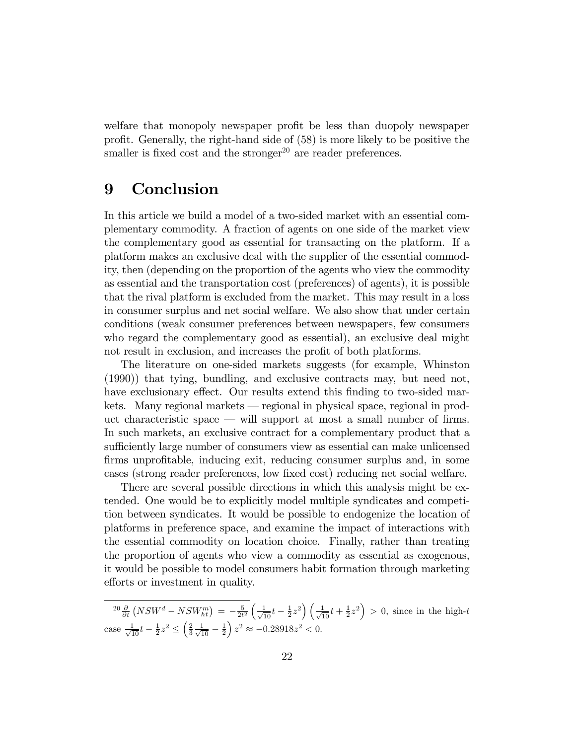welfare that monopoly newspaper profit be less than duopoly newspaper profit. Generally, the right-hand side of  $(58)$  is more likely to be positive the smaller is fixed cost and the stronger $^{20}$  are reader preferences.

# 9 Conclusion

In this article we build a model of a two-sided market with an essential complementary commodity. A fraction of agents on one side of the market view the complementary good as essential for transacting on the platform. If a platform makes an exclusive deal with the supplier of the essential commodity, then (depending on the proportion of the agents who view the commodity as essential and the transportation cost (preferences) of agents), it is possible that the rival platform is excluded from the market. This may result in a loss in consumer surplus and net social welfare. We also show that under certain conditions (weak consumer preferences between newspapers, few consumers who regard the complementary good as essential), an exclusive deal might not result in exclusion, and increases the profit of both platforms.

The literature on one-sided markets suggests (for example, Whinston (1990)) that tying, bundling, and exclusive contracts may, but need not, have exclusionary effect. Our results extend this finding to two-sided markets. Many regional markets – regional in physical space, regional in product characteristic space  $\sim$  will support at most a small number of firms. In such markets, an exclusive contract for a complementary product that a sufficiently large number of consumers view as essential can make unlicensed firms unprofitable, inducing exit, reducing consumer surplus and, in some cases (strong reader preferences, low Öxed cost) reducing net social welfare.

There are several possible directions in which this analysis might be extended. One would be to explicitly model multiple syndicates and competition between syndicates. It would be possible to endogenize the location of platforms in preference space, and examine the impact of interactions with the essential commodity on location choice. Finally, rather than treating the proportion of agents who view a commodity as essential as exogenous, it would be possible to model consumers habit formation through marketing efforts or investment in quality.

 $^{20} \frac{\partial}{\partial t} (NSW^d - NSW_{ht}^m) = -\frac{5}{2t^2} \left( \frac{1}{\sqrt{10}} t - \frac{1}{2} z^2 \right) \left( \frac{1}{\sqrt{10}} t + \frac{1}{2} z^2 \right) > 0$ , since in the high-t case  $\frac{1}{\sqrt{10}}t - \frac{1}{2}z^2 \le \left(\frac{2}{3}\frac{1}{\sqrt{10}} - \frac{1}{2}\right)$  $\Big) z^2 \approx -0.28918z^2 < 0.$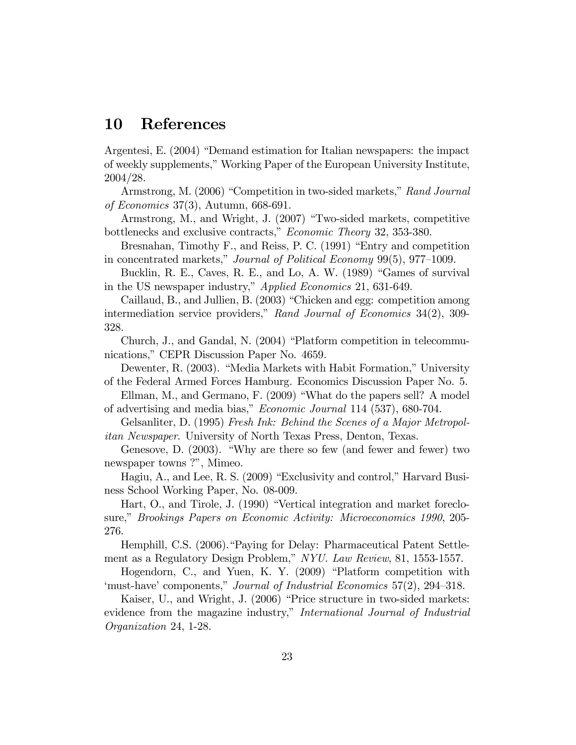#### **10** References

Argentesi, E. (2004) "Demand estimation for Italian newspapers: the impact of weekly supplements," Working Paper of the European University Institute,  $2004/28.$ 

Armstrong, M. (2006) "Competition in two-sided markets," Rand Journal of Economics 37(3), Autumn,  $668-691$ .

Armstrong, M., and Wright, J. (2007) "Two-sided markets, competitive bottlenecks and exclusive contracts," Economic Theory 32, 353-380.

Bresnahan, Timothy F., and Reiss, P. C. (1991) "Entry and competition in concentrated markets," Journal of Political Economy 99(5), 977-1009.

Bucklin, R. E., Caves, R. E., and Lo, A. W. (1989) "Games of survival in the US newspaper industry," Applied Economics 21, 631-649.

Caillaud, B., and Jullien, B. (2003) "Chicken and egg: competition among intermediation service providers," Rand Journal of Economics  $34(2)$ , 309-328.

Church, J., and Gandal, N. (2004) "Platform competition in telecommunications," CEPR Discussion Paper No. 4659.

Dewenter, R. (2003). "Media Markets with Habit Formation," University of the Federal Armed Forces Hamburg. Economics Discussion Paper No. 5.

Ellman, M., and Germano, F. (2009) "What do the papers sell? A model of advertising and media bias," *Economic Journal* 114 (537), 680-704.

Gelsanliter, D. (1995) Fresh Ink: Behind the Scenes of a Major Metropol*itan Newspaper.* University of North Texas Press, Denton, Texas.

Genesove, D. (2003). "Why are there so few (and fewer and fewer) two newspaper towns ?", Mimeo.

Hagiu, A., and Lee, R. S. (2009) "Exclusivity and control," Harvard Business School Working Paper, No. 08-009.

Hart, O., and Tirole, J. (1990) "Vertical integration and market foreclosure," Brookings Papers on Economic Activity: Microeconomics 1990, 205-276.

Hemphill, C.S. (2006). "Paying for Delay: Pharmaceutical Patent Settlement as a Regulatory Design Problem," NYU. Law Review, 81, 1553-1557.

Hogendorn, C., and Yuen, K. Y. (2009) "Platform competition with 'must-have' components," Journal of Industrial Economics 57(2), 294–318.

Kaiser, U., and Wright, J. (2006) "Price structure in two-sided markets: evidence from the magazine industry," International Journal of Industrial *Organization* 24, 1-28.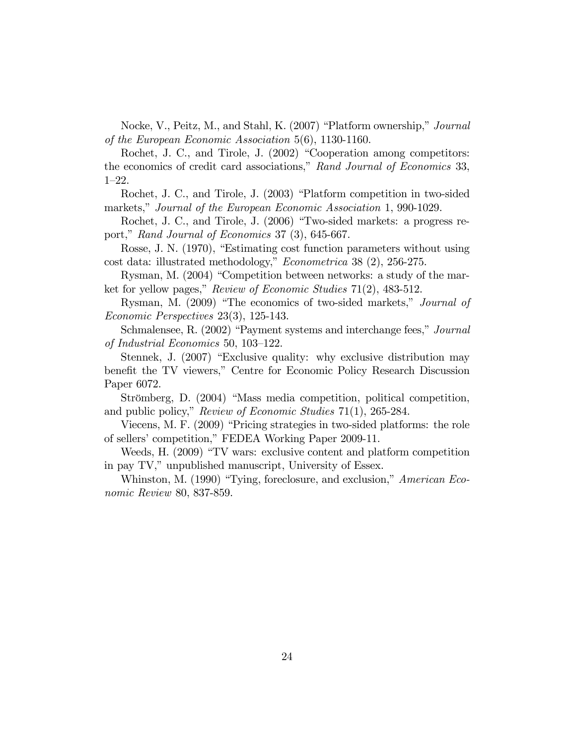Nocke, V., Peitz, M., and Stahl, K. (2007) "Platform ownership," Journal of the European Economic Association  $5(6)$ , 1130-1160.

Rochet, J. C., and Tirole, J. (2002) "Cooperation among competitors: the economics of credit card associations," Rand Journal of Economics 33,  $1 - 22.$ 

Rochet, J. C., and Tirole, J. (2003) "Platform competition in two-sided markets," Journal of the European Economic Association 1, 990-1029.

Rochet, J. C., and Tirole, J. (2006) "Two-sided markets: a progress report," Rand Journal of Economics 37 (3), 645-667.

Rosse, J. N. (1970), "Estimating cost function parameters without using cost data: illustrated methodology," *Econometrica* 38 (2), 256-275.

Rysman, M. (2004) "Competition between networks: a study of the market for yellow pages," Review of Economic Studies  $71(2)$ , 483-512.

Rysman, M. (2009) "The economics of two-sided markets," Journal of *Economic Perspectives* 23(3), 125-143.

Schmalensee, R. (2002) "Payment systems and interchange fees," Journal of Industrial Economics 50, 103-122.

Stennek, J. (2007) "Exclusive quality: why exclusive distribution may benefit the TV viewers," Centre for Economic Policy Research Discussion Paper 6072.

Strömberg, D. (2004) "Mass media competition, political competition, and public policy," Review of Economic Studies  $71(1)$ , 265-284.

Viecens, M. F. (2009) "Pricing strategies in two-sided platforms: the role of sellers' competition," FEDEA Working Paper 2009-11.

Weeds, H. (2009) "TV wars: exclusive content and platform competition in pay TV," unpublished manuscript, University of Essex.

Whinston, M. (1990) "Tying, foreclosure, and exclusion," American Eco*nomic Review 80, 837-859.*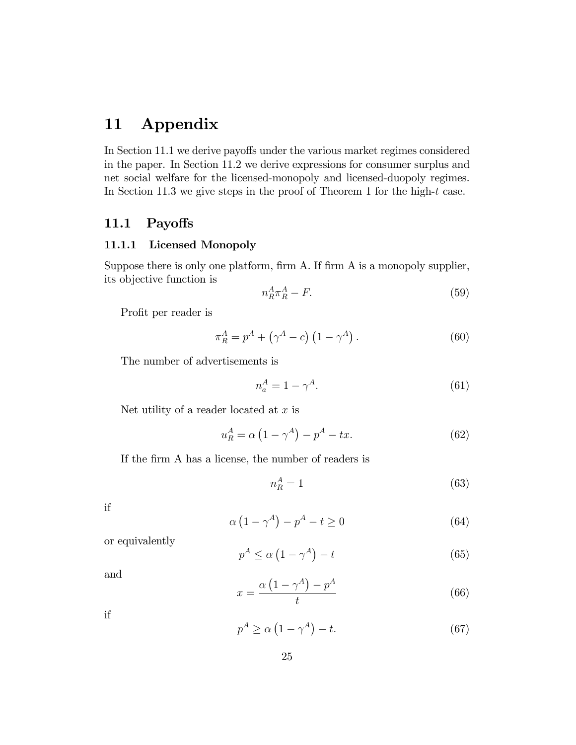# 11 Appendix

In Section 11.1 we derive payoffs under the various market regimes considered in the paper. In Section 11.2 we derive expressions for consumer surplus and net social welfare for the licensed-monopoly and licensed-duopoly regimes. In Section 11.3 we give steps in the proof of Theorem 1 for the high- $t$  case.

## 11.1 Payoffs

### 11.1.1 Licensed Monopoly

Suppose there is only one platform, firm A. If firm A is a monopoly supplier, its objective function is

$$
n_R^A \pi_R^A - F. \tag{59}
$$

Profit per reader is

$$
\pi_R^A = p^A + (\gamma^A - c) (1 - \gamma^A).
$$
 (60)

The number of advertisements is

$$
n_a^A = 1 - \gamma^A. \tag{61}
$$

Net utility of a reader located at  $x$  is

$$
u_R^A = \alpha \left( 1 - \gamma^A \right) - p^A - tx. \tag{62}
$$

If the firm A has a license, the number of readers is

$$
n_R^A = 1\tag{63}
$$

if

$$
\alpha \left(1 - \gamma^A\right) - p^A - t \ge 0 \tag{64}
$$

or equivalently

$$
p^A \le \alpha \left(1 - \gamma^A\right) - t \tag{65}
$$

and

$$
x = \frac{\alpha \left(1 - \gamma^A\right) - p^A}{t} \tag{66}
$$

if

$$
p^A \ge \alpha \left(1 - \gamma^A\right) - t. \tag{67}
$$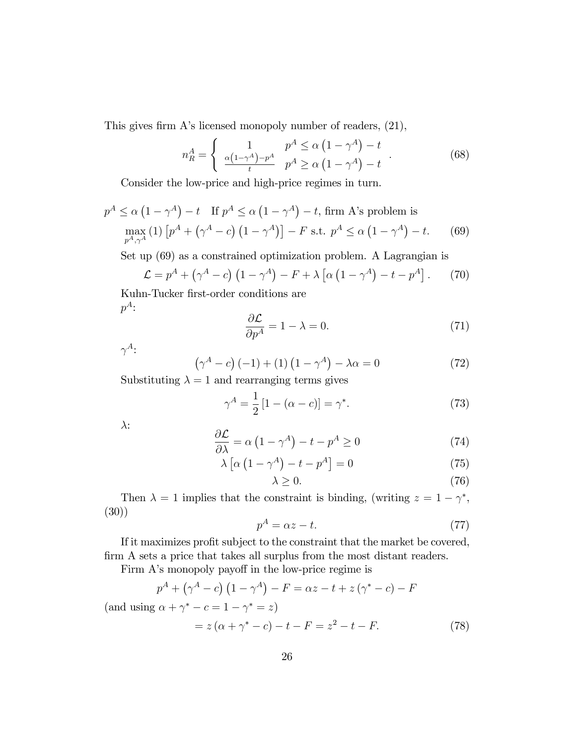This gives firm  $A$ 's licensed monopoly number of readers,  $(21)$ ,

$$
n_R^A = \begin{cases} \n1 & p^A \le \alpha \left(1 - \gamma^A\right) - t \\
\frac{\alpha \left(1 - \gamma^A\right) - p^A}{t} & p^A \ge \alpha \left(1 - \gamma^A\right) - t\n\end{cases} \tag{68}
$$

Consider the low-price and high-price regimes in turn.

$$
p^{A} \leq \alpha \left(1 - \gamma^{A}\right) - t \quad \text{If } p^{A} \leq \alpha \left(1 - \gamma^{A}\right) - t \text{, firm A's problem is}
$$

$$
\max_{p^{A}, \gamma^{A}} \left(1\right) \left[p^{A} + \left(\gamma^{A} - c\right) \left(1 - \gamma^{A}\right)\right] - F \text{ s.t. } p^{A} \leq \alpha \left(1 - \gamma^{A}\right) - t. \tag{69}
$$

Set up (69) as a constrained optimization problem. A Lagrangian is

$$
\mathcal{L} = p^A + \left(\gamma^A - c\right) \left(1 - \gamma^A\right) - F + \lambda \left[\alpha \left(1 - \gamma^A\right) - t - p^A\right].\tag{70}
$$

Kuhn-Tucker first-order conditions are  $p^A$ :

$$
\frac{\partial \mathcal{L}}{\partial p^A} = 1 - \lambda = 0. \tag{71}
$$

 $\gamma^A$ :

$$
\left(\gamma^A - c\right)(-1) + (1)\left(1 - \gamma^A\right) - \lambda \alpha = 0\tag{72}
$$

Substituting  $\lambda = 1$  and rearranging terms gives

$$
\gamma^A = \frac{1}{2} [1 - (\alpha - c)] = \gamma^*.
$$
 (73)

 $\lambda$ :

$$
\frac{\partial \mathcal{L}}{\partial \lambda} = \alpha \left( 1 - \gamma^A \right) - t - p^A \ge 0 \tag{74}
$$

$$
\lambda \left[ \alpha \left( 1 - \gamma^A \right) - t - p^A \right] = 0 \tag{75}
$$

$$
\lambda \ge 0. \tag{76}
$$

Then  $\lambda = 1$  implies that the constraint is binding, (writing  $z = 1 - \gamma^*$ , (30))

$$
p^A = \alpha z - t.\tag{77}
$$

If it maximizes profit subject to the constraint that the market be covered, firm A sets a price that takes all surplus from the most distant readers.

Firm A's monopoly payoff in the low-price regime is

$$
p^{A} + (\gamma^{A} - c)(1 - \gamma^{A}) - F = \alpha z - t + z(\gamma^{*} - c) - F
$$

(and using  $\alpha + \gamma^* - c = 1 - \gamma^* = z$ )

$$
= z(\alpha + \gamma^* - c) - t - F = z^2 - t - F.
$$
 (78)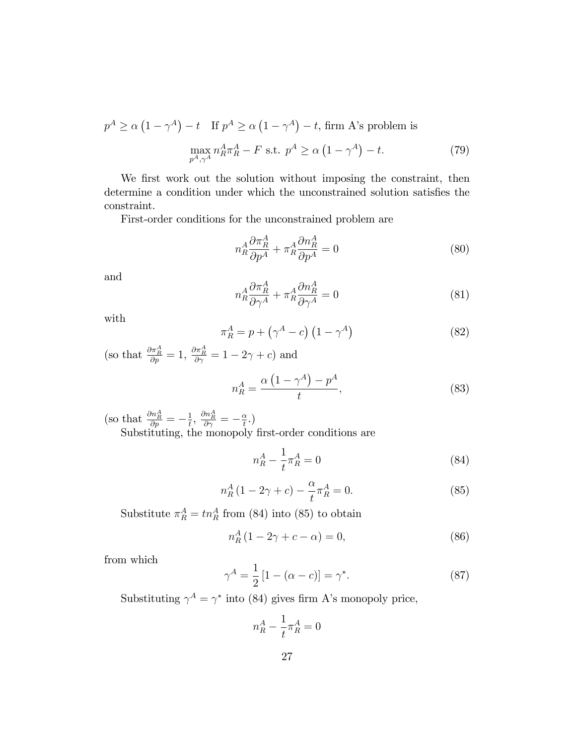$$
p^{A} \ge \alpha \left(1 - \gamma^{A}\right) - t \quad \text{If } p^{A} \ge \alpha \left(1 - \gamma^{A}\right) - t \text{, firm A's problem is}
$$
\n
$$
\max_{p^{A}, \gamma^{A}} n_{R}^{A} \pi_{R}^{A} - F \text{ s.t. } p^{A} \ge \alpha \left(1 - \gamma^{A}\right) - t. \tag{79}
$$

We first work out the solution without imposing the constraint, then determine a condition under which the unconstrained solution satisfies the constraint.

First-order conditions for the unconstrained problem are

$$
n_R^A \frac{\partial \pi_R^A}{\partial p^A} + \pi_R^A \frac{\partial n_R^A}{\partial p^A} = 0
$$
\n(80)

and

$$
n_R^A \frac{\partial \pi_R^A}{\partial \gamma^A} + \pi_R^A \frac{\partial n_R^A}{\partial \gamma^A} = 0
$$
\n(81)

with

$$
\pi_R^A = p + \left(\gamma^A - c\right) \left(1 - \gamma^A\right) \tag{82}
$$

(so that  $\frac{\partial \pi_A^A}{\partial p} = 1$ ,  $\frac{\partial \pi_A^A}{\partial \gamma} = 1 - 2\gamma + c$ ) and

$$
n_R^A = \frac{\alpha \left(1 - \gamma^A\right) - p^A}{t},\tag{83}
$$

(so that  $\frac{\partial n_R^A}{\partial p} = -\frac{1}{t}$  $\frac{1}{t},\,\frac{\partial n_{R}^{A}}{\partial\gamma}=-\frac{\alpha}{t}$  $\frac{\alpha}{t}$ .)

Substituting, the monopoly first-order conditions are

$$
n_R^A - \frac{1}{t}\pi_R^A = 0\tag{84}
$$

$$
n_R^A (1 - 2\gamma + c) - \frac{\alpha}{t} \pi_R^A = 0.
$$
 (85)

Substitute  $\pi_R^A = t n_R^A$  from (84) into (85) to obtain

$$
n_R^A (1 - 2\gamma + c - \alpha) = 0,\t\t(86)
$$

from which

$$
\gamma^A = \frac{1}{2} [1 - (\alpha - c)] = \gamma^*.
$$
 (87)

Substituting  $\gamma^A = \gamma^*$  into (84) gives firm A's monopoly price,

$$
n_R^A - \frac{1}{t}\pi_R^A = 0
$$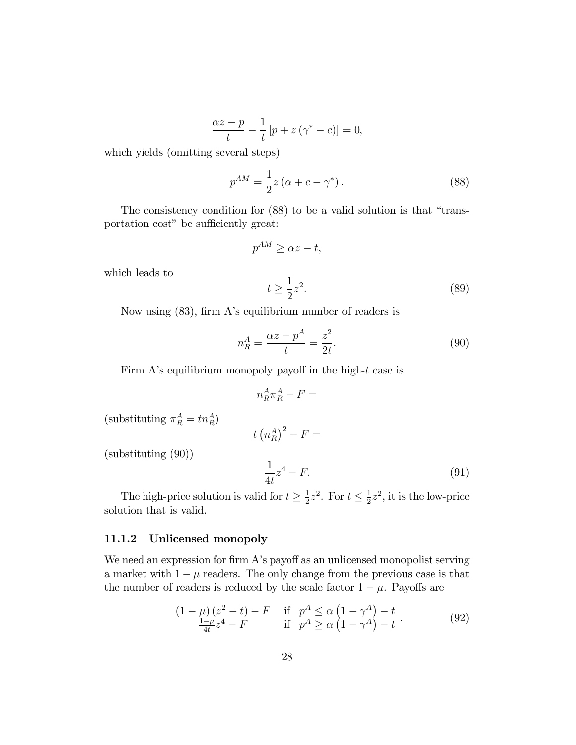$$
\frac{\alpha z - p}{t} - \frac{1}{t} [p + z(\gamma^* - c)] = 0,
$$

which yields (omitting several steps)

$$
p^{AM} = \frac{1}{2}z\left(\alpha + c - \gamma^*\right). \tag{88}
$$

The consistency condition for  $(88)$  to be a valid solution is that "transportation cost" be sufficiently great:

$$
p^{AM} \ge \alpha z - t,
$$

which leads to

$$
t \ge \frac{1}{2}z^2. \tag{89}
$$

Now using  $(83)$ , firm A's equilibrium number of readers is

$$
n_R^A = \frac{\alpha z - p^A}{t} = \frac{z^2}{2t}.
$$
\n
$$
(90)
$$

Firm A's equilibrium monopoly payoff in the high- $t$  case is

$$
n_R^A \pi_R^A - F =
$$

(substituting  $\pi_R^A = t n_R^A$ )

$$
t\left(n^A_R\right)^2 - F =
$$

(substituting (90))

$$
\frac{1}{4t}z^4 - F.\tag{91}
$$

The high-price solution is valid for  $t \geq \frac{1}{2}$  $\frac{1}{2}z^2$ . For  $t \leq \frac{1}{2}$  $\frac{1}{2}z^2$ , it is the low-price solution that is valid.

### 11.1.2 Unlicensed monopoly

We need an expression for firm A's payoff as an unlicensed monopolist serving a market with  $1 - \mu$  readers. The only change from the previous case is that the number of readers is reduced by the scale factor  $1 - \mu$ . Payoffs are

$$
(1 - \mu)(z^2 - t) - F \quad \text{if} \quad p^A \le \alpha \left(1 - \gamma^A\right) - t
$$
  
\n
$$
\frac{1 - \mu}{4t} z^4 - F \quad \text{if} \quad p^A \ge \alpha \left(1 - \gamma^A\right) - t
$$
 (92)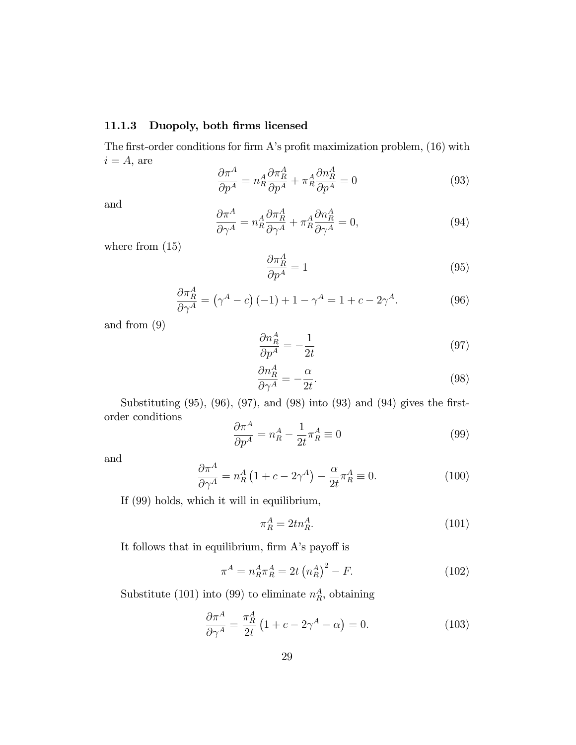### 11.1.3 Duopoly, both firms licensed

The first-order conditions for firm A's profit maximization problem,  $(16)$  with  $i = A$ , are

$$
\frac{\partial \pi^A}{\partial p^A} = n_R^A \frac{\partial \pi_R^A}{\partial p^A} + \pi_R^A \frac{\partial n_R^A}{\partial p^A} = 0 \tag{93}
$$

and

$$
\frac{\partial \pi^A}{\partial \gamma^A} = n_R^A \frac{\partial \pi_R^A}{\partial \gamma^A} + \pi_R^A \frac{\partial n_R^A}{\partial \gamma^A} = 0,\tag{94}
$$

where from  $(15)$ 

$$
\frac{\partial \pi_R^A}{\partial p^A} = 1\tag{95}
$$

$$
\frac{\partial \pi_A^A}{\partial \gamma^A} = (\gamma^A - c)(-1) + 1 - \gamma^A = 1 + c - 2\gamma^A.
$$
 (96)

and from (9)

$$
\frac{\partial n_R^A}{\partial p^A} = -\frac{1}{2t} \tag{97}
$$

$$
\frac{\partial n_A^A}{\partial \gamma^A} = -\frac{\alpha}{2t}.\tag{98}
$$

Substituting  $(95)$ ,  $(96)$ ,  $(97)$ , and  $(98)$  into  $(93)$  and  $(94)$  gives the firstorder conditions

$$
\frac{\partial \pi^A}{\partial p^A} = n_R^A - \frac{1}{2t} \pi_R^A \equiv 0 \tag{99}
$$

and

$$
\frac{\partial \pi^A}{\partial \gamma^A} = n_R^A \left( 1 + c - 2\gamma^A \right) - \frac{\alpha}{2t} \pi_R^A \equiv 0. \tag{100}
$$

If (99) holds, which it will in equilibrium,

$$
\pi_R^A = 2tn_R^A. \tag{101}
$$

It follows that in equilibrium, firm  $A$ 's payoff is

$$
\pi^A = n_R^A \pi_R^A = 2t \left( n_R^A \right)^2 - F. \tag{102}
$$

Substitute (101) into (99) to eliminate  $n_R^A$ , obtaining

$$
\frac{\partial \pi^A}{\partial \gamma^A} = \frac{\pi_R^A}{2t} \left( 1 + c - 2\gamma^A - \alpha \right) = 0. \tag{103}
$$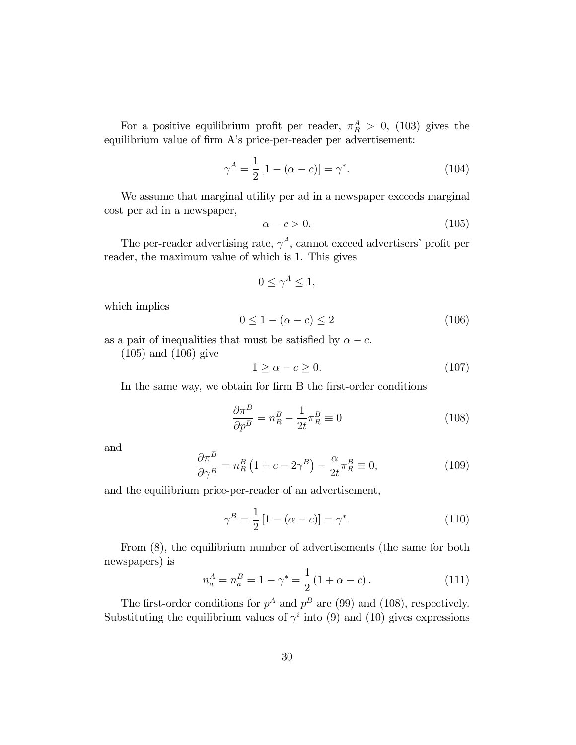For a positive equilibrium profit per reader,  $\pi_R^A > 0$ , (103) gives the equilibrium value of firm A's price-per-reader per advertisement:

$$
\gamma^A = \frac{1}{2} [1 - (\alpha - c)] = \gamma^*.
$$
 (104)

We assume that marginal utility per ad in a newspaper exceeds marginal cost per ad in a newspaper,

$$
\alpha - c > 0. \tag{105}
$$

The per-reader advertising rate,  $\gamma^A$ , cannot exceed advertisers' profit per reader, the maximum value of which is 1. This gives

$$
0 \le \gamma^A \le 1,
$$

which implies

$$
0 \le 1 - (\alpha - c) \le 2 \tag{106}
$$

as a pair of inequalities that must be satisfied by  $\alpha - c$ .

(105) and (106) give

$$
1 \ge \alpha - c \ge 0. \tag{107}
$$

In the same way, we obtain for firm B the first-order conditions

$$
\frac{\partial \pi^B}{\partial p^B} = n_R^B - \frac{1}{2t} \pi_R^B \equiv 0 \tag{108}
$$

and

$$
\frac{\partial \pi^B}{\partial \gamma^B} = n_R^B \left( 1 + c - 2\gamma^B \right) - \frac{\alpha}{2t} \pi_R^B \equiv 0,\tag{109}
$$

and the equilibrium price-per-reader of an advertisement,

$$
\gamma^B = \frac{1}{2} [1 - (\alpha - c)] = \gamma^*.
$$
 (110)

From (8), the equilibrium number of advertisements (the same for both newspapers) is

$$
n_a^A = n_a^B = 1 - \gamma^* = \frac{1}{2} (1 + \alpha - c). \tag{111}
$$

The first-order conditions for  $p^A$  and  $p^B$  are (99) and (108), respectively. Substituting the equilibrium values of  $\gamma^i$  into (9) and (10) gives expressions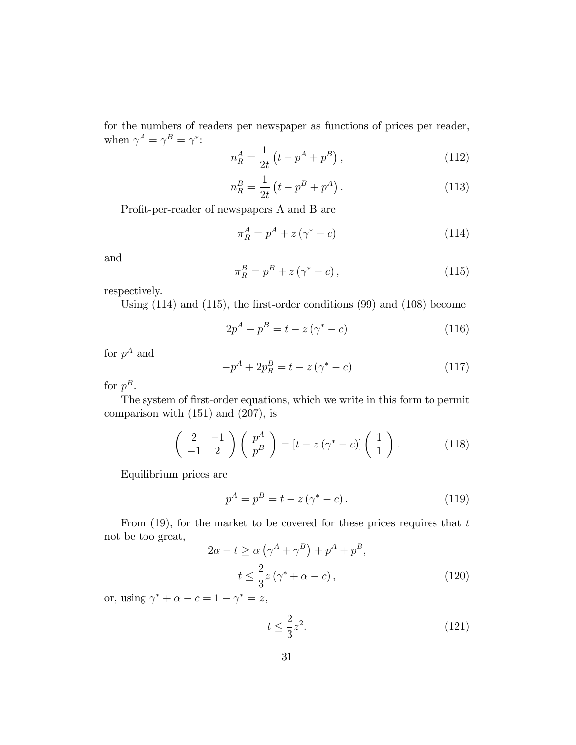for the numbers of readers per newspaper as functions of prices per reader, when  $\gamma^A = \gamma^B = \gamma^*$ :

$$
n_R^A = \frac{1}{2t} \left( t - p^A + p^B \right), \tag{112}
$$

$$
n_R^B = \frac{1}{2t} \left( t - p^B + p^A \right). \tag{113}
$$

Profit-per-reader of newspapers A and B are

$$
\pi_R^A = p^A + z(\gamma^* - c) \tag{114}
$$

and

$$
\pi_R^B = p^B + z(\gamma^* - c), \qquad (115)
$$

respectively.

Using  $(114)$  and  $(115)$ , the first-order conditions  $(99)$  and  $(108)$  become

$$
2p^{A} - p^{B} = t - z(\gamma^{*} - c)
$$
 (116)

for  $p^A$  and

$$
-p^{A} + 2p_{R}^{B} = t - z(\gamma^{*} - c)
$$
\n(117)

for  $p^B$ .

The system of first-order equations, which we write in this form to permit comparison with (151) and (207), is

$$
\begin{pmatrix} 2 & -1 \\ -1 & 2 \end{pmatrix} \begin{pmatrix} p^A \\ p^B \end{pmatrix} = \left[ t - z(\gamma^* - c) \right] \begin{pmatrix} 1 \\ 1 \end{pmatrix}.
$$
 (118)

Equilibrium prices are

$$
p^{A} = p^{B} = t - z(\gamma^{*} - c). \qquad (119)
$$

From  $(19)$ , for the market to be covered for these prices requires that t not be too great,

$$
2\alpha - t \ge \alpha \left(\gamma^A + \gamma^B\right) + p^A + p^B,
$$
  

$$
t \le \frac{2}{3}z\left(\gamma^* + \alpha - c\right),
$$
 (120)

or, using  $\gamma^* + \alpha - c = 1 - \gamma^* = z$ ,

$$
t \le \frac{2}{3}z^2. \tag{121}
$$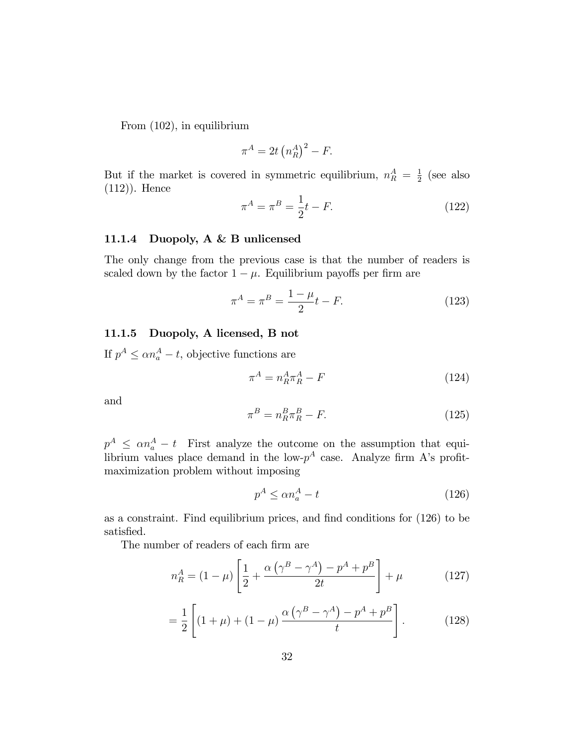From (102), in equilibrium

$$
\pi^A = 2t \left( n_R^A \right)^2 - F.
$$

But if the market is covered in symmetric equilibrium,  $n_R^A = \frac{1}{2}$  $rac{1}{2}$  (see also (112)). Hence

$$
\pi^A = \pi^B = \frac{1}{2}t - F.
$$
 (122)

### 11.1.4 Duopoly, A & B unlicensed

The only change from the previous case is that the number of readers is scaled down by the factor  $1 - \mu$ . Equilibrium payoffs per firm are

$$
\pi^A = \pi^B = \frac{1 - \mu}{2}t - F.
$$
\n(123)

### 11.1.5 Duopoly, A licensed, B not

If  $p^A \le \alpha n_a^A - t$ , objective functions are

$$
\pi^A = n_R^A \pi_R^A - F \tag{124}
$$

and

$$
\pi^B = n_R^B \pi_R^B - F. \tag{125}
$$

 $p^A \leq \alpha n_a^A - t$  First analyze the outcome on the assumption that equilibrium values place demand in the low- $p^A$  case. Analyze firm A's profitmaximization problem without imposing

$$
p^A \le \alpha n_a^A - t \tag{126}
$$

as a constraint. Find equilibrium prices, and find conditions for  $(126)$  to be satisfied.

The number of readers of each firm are

$$
n_R^A = (1 - \mu) \left[ \frac{1}{2} + \frac{\alpha \left( \gamma^B - \gamma^A \right) - p^A + p^B}{2t} \right] + \mu \tag{127}
$$

$$
= \frac{1}{2} \left[ (1 + \mu) + (1 - \mu) \frac{\alpha (\gamma^{B} - \gamma^{A}) - p^{A} + p^{B}}{t} \right].
$$
 (128)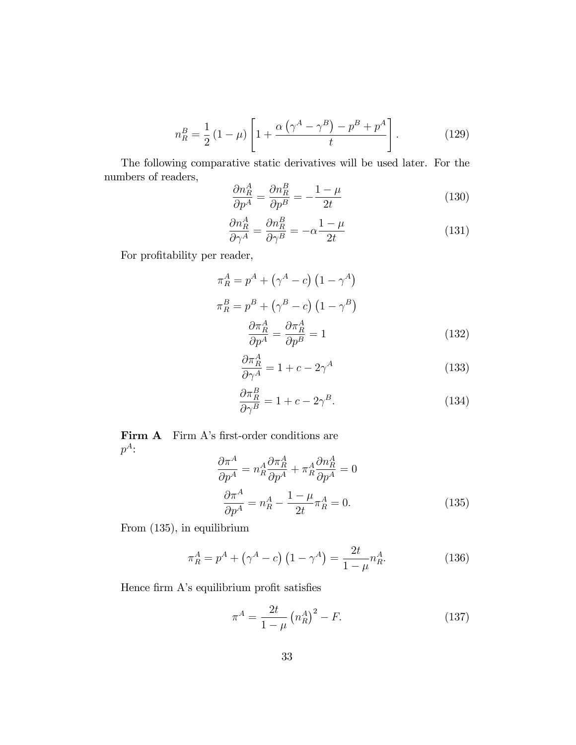$$
n_R^B = \frac{1}{2} (1 - \mu) \left[ 1 + \frac{\alpha (\gamma^A - \gamma^B) - p^B + p^A}{t} \right].
$$
 (129)

The following comparative static derivatives will be used later. For the numbers of readers,  $\overline{a}$  $\overline{D}$ 

$$
\frac{\partial n_R^A}{\partial p^A} = \frac{\partial n_R^B}{\partial p^B} = -\frac{1-\mu}{2t} \tag{130}
$$

$$
\frac{\partial n_R^A}{\partial \gamma^A} = \frac{\partial n_R^B}{\partial \gamma^B} = -\alpha \frac{1 - \mu}{2t} \tag{131}
$$

For profitability per reader,

$$
\pi_R^A = p^A + (\gamma^A - c) (1 - \gamma^A)
$$
  
\n
$$
\pi_R^B = p^B + (\gamma^B - c) (1 - \gamma^B)
$$
  
\n
$$
\frac{\partial \pi_R^A}{\partial p^A} = \frac{\partial \pi_R^A}{\partial p^B} = 1
$$
\n(132)

$$
\frac{\partial \pi_R^A}{\partial \gamma^A} = 1 + c - 2\gamma^A \tag{133}
$$

$$
\frac{\partial \pi_R^B}{\partial \gamma^B} = 1 + c - 2\gamma^B. \tag{134}
$$

Firm A Firm A's first-order conditions are  $p^A$ :

$$
\frac{\partial \pi^A}{\partial p^A} = n_R^A \frac{\partial \pi_R^A}{\partial p^A} + \pi_R^A \frac{\partial n_R^A}{\partial p^A} = 0
$$
  

$$
\frac{\partial \pi^A}{\partial p^A} = n_R^A - \frac{1 - \mu}{2t} \pi_R^A = 0.
$$
 (135)

From (135), in equilibrium

$$
\pi_R^A = p^A + (\gamma^A - c) (1 - \gamma^A) = \frac{2t}{1 - \mu} n_R^A.
$$
 (136)

Hence firm  $A$ 's equilibrium profit satisfies

$$
\pi^A = \frac{2t}{1-\mu} \left( n_R^A \right)^2 - F. \tag{137}
$$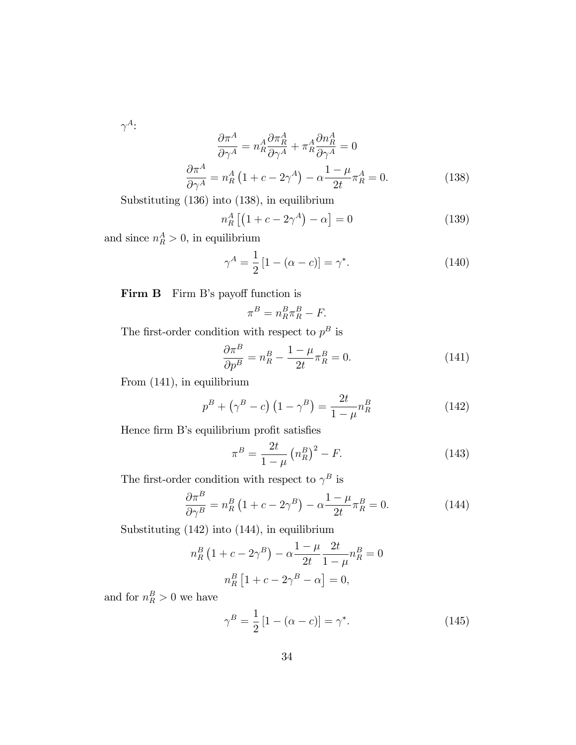$\gamma^A$ :

$$
\frac{\partial \pi^A}{\partial \gamma^A} = n_R^A \frac{\partial \pi_R^A}{\partial \gamma^A} + \pi_R^A \frac{\partial n_R^A}{\partial \gamma^A} = 0
$$
\n
$$
\frac{\partial \pi^A}{\partial \gamma^A} = n_R^A \left( 1 + c - 2\gamma^A \right) - \alpha \frac{1 - \mu}{2t} \pi_R^A = 0.
$$
\n(138)

Substituting (136) into (138), in equilibrium

$$
n_R^A \left[ \left( 1 + c - 2\gamma^A \right) - \alpha \right] = 0 \tag{139}
$$

and since  $n_R^A > 0$ , in equilibrium

$$
\gamma^A = \frac{1}{2} [1 - (\alpha - c)] = \gamma^*.
$$
 (140)

Firm B Firm B's payoff function is

$$
\pi^B = n_R^B \pi_R^B - F.
$$

The first-order condition with respect to  $p^B$  is

$$
\frac{\partial \pi^B}{\partial p^B} = n_R^B - \frac{1 - \mu}{2t} \pi_R^B = 0.
$$
\n(141)

From (141), in equilibrium

$$
p^{B} + (\gamma^{B} - c) (1 - \gamma^{B}) = \frac{2t}{1 - \mu} n_{R}^{B}
$$
 (142)

Hence firm B's equilibrium profit satisfies

$$
\pi^B = \frac{2t}{1-\mu} \left( n_R^B \right)^2 - F. \tag{143}
$$

The first-order condition with respect to  $\gamma^B$  is

$$
\frac{\partial \pi^B}{\partial \gamma^B} = n_R^B \left( 1 + c - 2\gamma^B \right) - \alpha \frac{1 - \mu}{2t} \pi_R^B = 0. \tag{144}
$$

Substituting (142) into (144), in equilibrium

$$
n_R^B \left(1 + c - 2\gamma^B\right) - \alpha \frac{1 - \mu}{2t} \frac{2t}{1 - \mu} n_R^B = 0
$$

$$
n_R^B \left[1 + c - 2\gamma^B - \alpha\right] = 0,
$$

and for  $n_R^B > 0$  we have

$$
\gamma^B = \frac{1}{2} [1 - (\alpha - c)] = \gamma^*.
$$
 (145)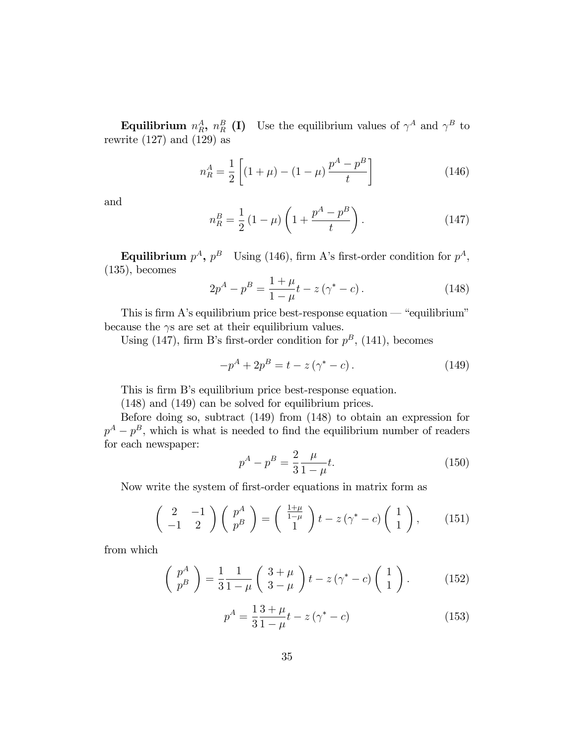**Equilibrium**  $n_R^A$ ,  $n_R^B$  (I) Use the equilibrium values of  $\gamma^A$  and  $\gamma^B$  to rewrite  $(127)$  and  $(129)$  as

$$
n_R^A = \frac{1}{2} \left[ (1 + \mu) - (1 - \mu) \frac{p^A - p^B}{t} \right] \tag{146}
$$

and

$$
n_R^B = \frac{1}{2} (1 - \mu) \left( 1 + \frac{p^A - p^B}{t} \right). \tag{147}
$$

Equilibrium  $p^A$ ,  $p^B$  Using (146), firm A's first-order condition for  $p^A$ ,  $(135)$ , becomes

$$
2p^{A} - p^{B} = \frac{1 + \mu}{1 - \mu} t - z \left(\gamma^{*} - c\right). \tag{148}
$$

This is firm A's equilibrium price best-response equation  $-$  "equilibrium" because the  $\gamma s$  are set at their equilibrium values.

Using (147), firm B's first-order condition for  $p^B$ , (141), becomes

$$
-p^{A} + 2p^{B} = t - z(\gamma^{*} - c).
$$
 (149)

This is firm B's equilibrium price best-response equation.

(148) and (149) can be solved for equilibrium prices.

Before doing so, subtract (149) from (148) to obtain an expression for  $p^A - p^B$ , which is what is needed to find the equilibrium number of readers for each newspaper:

$$
p^A - p^B = \frac{2}{3} \frac{\mu}{1 - \mu} t.
$$
 (150)

Now write the system of first-order equations in matrix form as

$$
\begin{pmatrix} 2 & -1 \\ -1 & 2 \end{pmatrix} \begin{pmatrix} p^A \\ p^B \end{pmatrix} = \begin{pmatrix} \frac{1+\mu}{1-\mu} \\ 1 \end{pmatrix} t - z(\gamma^* - c) \begin{pmatrix} 1 \\ 1 \end{pmatrix}, \qquad (151)
$$

from which

$$
\begin{pmatrix} p^A \\ p^B \end{pmatrix} = \frac{1}{3} \frac{1}{1 - \mu} \begin{pmatrix} 3 + \mu \\ 3 - \mu \end{pmatrix} t - z \left( \gamma^* - c \right) \begin{pmatrix} 1 \\ 1 \end{pmatrix}.
$$
 (152)

$$
p^{A} = \frac{1}{3} \frac{3 + \mu}{1 - \mu} t - z(\gamma^* - c)
$$
 (153)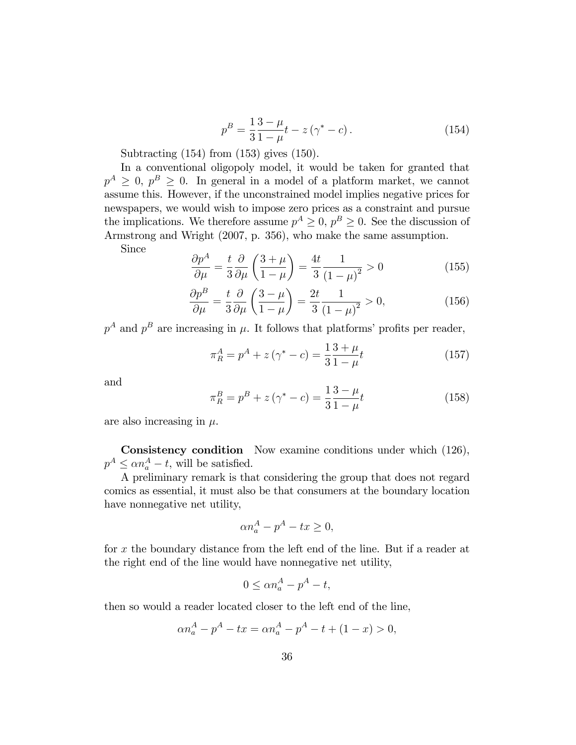$$
p^{B} = \frac{1}{3} \frac{3 - \mu}{1 - \mu} t - z \left( \gamma^{*} - c \right). \tag{154}
$$

Subtracting (154) from (153) gives (150).

In a conventional oligopoly model, it would be taken for granted that  $p^A \geq 0$ ,  $p^B \geq 0$ . In general in a model of a platform market, we cannot assume this. However, if the unconstrained model implies negative prices for newspapers, we would wish to impose zero prices as a constraint and pursue the implications. We therefore assume  $p^A \geq 0$ ,  $p^B \geq 0$ . See the discussion of Armstrong and Wright (2007, p. 356), who make the same assumption.

Since

$$
\frac{\partial p^A}{\partial \mu} = \frac{t}{3} \frac{\partial}{\partial \mu} \left( \frac{3+\mu}{1-\mu} \right) = \frac{4t}{3} \frac{1}{\left(1-\mu\right)^2} > 0 \tag{155}
$$

$$
\frac{\partial p^B}{\partial \mu} = \frac{t}{3} \frac{\partial}{\partial \mu} \left( \frac{3 - \mu}{1 - \mu} \right) = \frac{2t}{3} \frac{1}{\left( 1 - \mu \right)^2} > 0,\tag{156}
$$

 $p^A$  and  $p^B$  are increasing in  $\mu$ . It follows that platforms' profits per reader,

$$
\pi_R^A = p^A + z(\gamma^* - c) = \frac{1}{3} \frac{3 + \mu}{1 - \mu} t \tag{157}
$$

and

$$
\pi_R^B = p^B + z(\gamma^* - c) = \frac{1}{3} \frac{3 - \mu}{1 - \mu} t \tag{158}
$$

are also increasing in  $\mu$ .

Consistency condition Now examine conditions under which (126),  $p^A \leq \alpha n_a^A - t$ , will be satisfied.

A preliminary remark is that considering the group that does not regard comics as essential, it must also be that consumers at the boundary location have nonnegative net utility,

$$
\alpha n_a^A - p^A - tx \ge 0,
$$

for x the boundary distance from the left end of the line. But if a reader at the right end of the line would have nonnegative net utility,

$$
0 \le \alpha n_a^A - p^A - t,
$$

then so would a reader located closer to the left end of the line,

$$
\alpha n_a^A - p^A - tx = \alpha n_a^A - p^A - t + (1 - x) > 0,
$$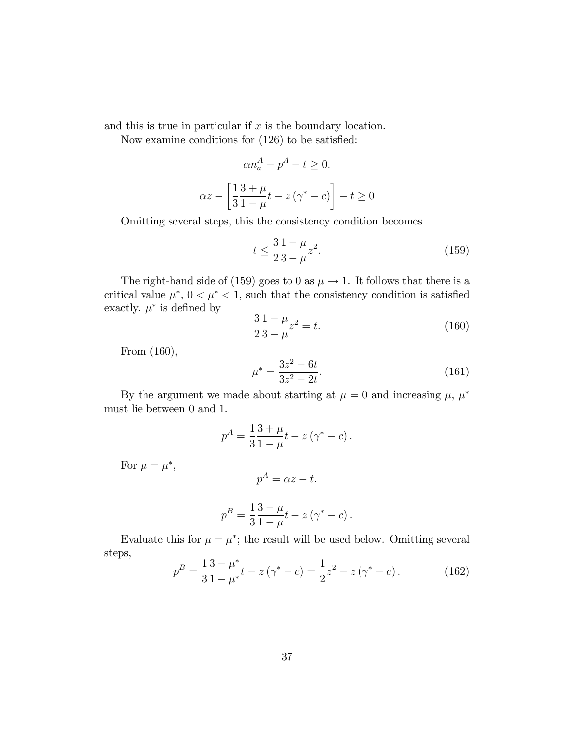and this is true in particular if  $x$  is the boundary location.

Now examine conditions for  $(126)$  to be satisfied:

$$
\alpha n_a^A - p^A - t \ge 0.
$$
  

$$
\alpha z - \left[\frac{1}{3} \frac{3+\mu}{1-\mu} t - z(\gamma^* - c)\right] - t \ge 0
$$

Omitting several steps, this the consistency condition becomes

$$
t \le \frac{3}{2} \frac{1 - \mu}{3 - \mu} z^2.
$$
 (159)

The right-hand side of (159) goes to 0 as  $\mu \rightarrow 1$ . It follows that there is a critical value  $\mu^*$ ,  $0 < \mu^* < 1$ , such that the consistency condition is satisfied exactly.  $\mu^*$  is defined by

$$
\frac{3}{2}\frac{1-\mu}{3-\mu}z^2 = t.
$$
\n(160)

From (160),

$$
\mu^* = \frac{3z^2 - 6t}{3z^2 - 2t}.\tag{161}
$$

By the argument we made about starting at  $\mu = 0$  and increasing  $\mu$ ,  $\mu^*$ must lie between 0 and 1.

$$
p^{A} = \frac{1}{3} \frac{3 + \mu}{1 - \mu} t - z (\gamma^* - c).
$$

For  $\mu = \mu^*$ ,

$$
p^A = \alpha z - t.
$$

$$
p^{B} = \frac{1}{3} \frac{3 - \mu}{1 - \mu} t - z (\gamma^* - c).
$$

Evaluate this for  $\mu = \mu^*$ ; the result will be used below. Omitting several steps,

$$
p^{B} = \frac{1}{3} \frac{3 - \mu^{*}}{1 - \mu^{*}} t - z(\gamma^{*} - c) = \frac{1}{2} z^{2} - z(\gamma^{*} - c).
$$
 (162)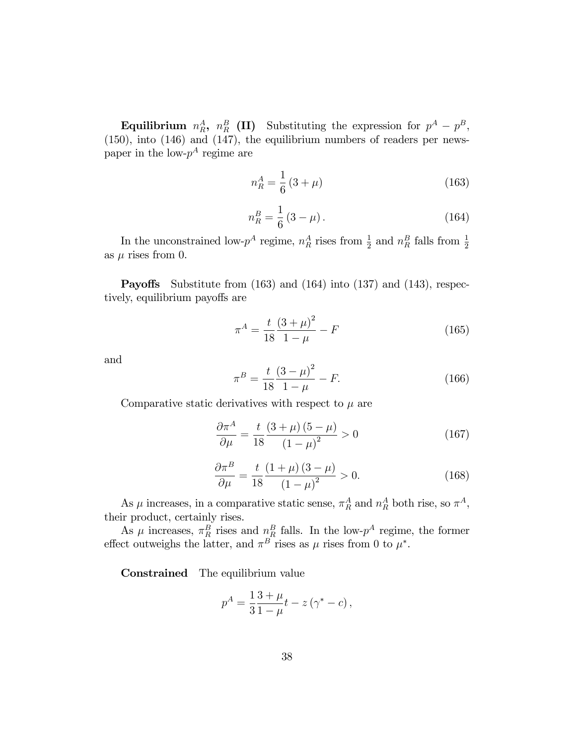Equilibrium  $n_R^A$ ,  $n_R^B$  (II) Substituting the expression for  $p^A - p^B$ , (150), into (146) and (147), the equilibrium numbers of readers per newspaper in the low- $p^A$  regime are

$$
n_R^A = \frac{1}{6} \left( 3 + \mu \right) \tag{163}
$$

$$
n_R^B = \frac{1}{6} (3 - \mu). \tag{164}
$$

In the unconstrained low- $p^A$  regime,  $n_R^A$  rises from  $\frac{1}{2}$  and  $n_R^B$  falls from  $\frac{1}{2}$ as  $\mu$  rises from 0.

**Payoffs** Substitute from (163) and (164) into (137) and (143), respectively, equilibrium payoffs are

$$
\pi^A = \frac{t}{18} \frac{(3+\mu)^2}{1-\mu} - F \tag{165}
$$

and

$$
\pi^B = \frac{t}{18} \frac{(3-\mu)^2}{1-\mu} - F.
$$
\n(166)

Comparative static derivatives with respect to  $\mu$  are

$$
\frac{\partial \pi^A}{\partial \mu} = \frac{t}{18} \frac{\left(3 + \mu\right)\left(5 - \mu\right)}{\left(1 - \mu\right)^2} > 0 \tag{167}
$$

$$
\frac{\partial \pi^B}{\partial \mu} = \frac{t}{18} \frac{(1+\mu)(3-\mu)}{(1-\mu)^2} > 0.
$$
 (168)

As  $\mu$  increases, in a comparative static sense,  $\pi_R^A$  and  $n_R^A$  both rise, so  $\pi^A$ , their product, certainly rises.

As  $\mu$  increases,  $\pi_R^B$  rises and  $n_R^B$  falls. In the low- $p^A$  regime, the former effect outweighs the latter, and  $\pi^B$  rises as  $\mu$  rises from 0 to  $\mu^*$ .

Constrained The equilibrium value

$$
p^{A} = \frac{1}{3} \frac{3 + \mu}{1 - \mu} t - z (\gamma^* - c),
$$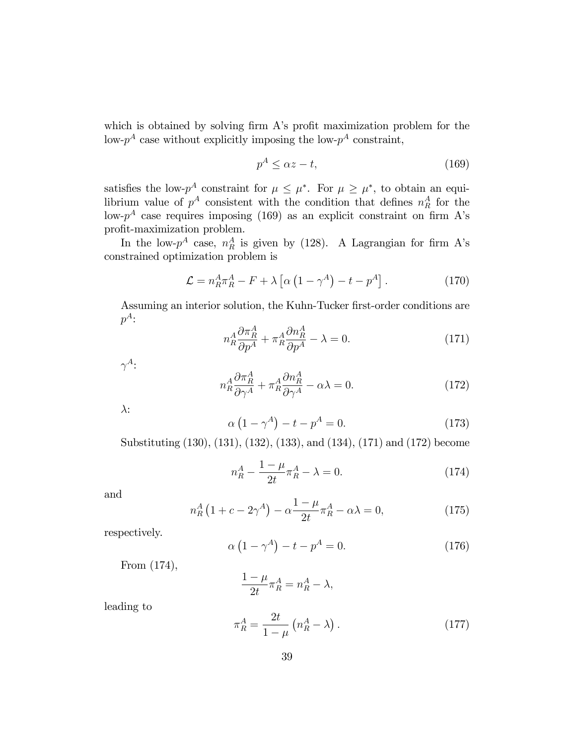which is obtained by solving firm A's profit maximization problem for the low- $p^A$  case without explicitly imposing the low- $p^A$  constraint,

$$
p^A \le \alpha z - t,\tag{169}
$$

satisfies the low- $p^A$  constraint for  $\mu \leq \mu^*$ . For  $\mu \geq \mu^*$ , to obtain an equilibrium value of  $p^A$  consistent with the condition that defines  $n_R^A$  for the low- $p^A$  case requires imposing (169) as an explicit constraint on firm A's profit-maximization problem.

In the low- $p^A$  case,  $n_R^A$  is given by (128). A Lagrangian for firm A's constrained optimization problem is

$$
\mathcal{L} = n_R^A \pi_R^A - F + \lambda \left[ \alpha \left( 1 - \gamma^A \right) - t - p^A \right]. \tag{170}
$$

Assuming an interior solution, the Kuhn-Tucker first-order conditions are  $p^A$ :

$$
n_R^A \frac{\partial \pi_R^A}{\partial p^A} + \pi_R^A \frac{\partial n_R^A}{\partial p^A} - \lambda = 0.
$$
 (171)

 $\gamma^A$ :

$$
n_R^A \frac{\partial \pi_R^A}{\partial \gamma^A} + \pi_R^A \frac{\partial n_R^A}{\partial \gamma^A} - \alpha \lambda = 0.
$$
 (172)

 $\lambda$ :

$$
\alpha \left(1 - \gamma^A\right) - t - p^A = 0. \tag{173}
$$

Substituting (130), (131), (132), (133), and (134), (171) and (172) become

$$
n_R^A - \frac{1 - \mu}{2t} \pi_R^A - \lambda = 0.
$$
 (174)

and

$$
n_R^A \left(1 + c - 2\gamma^A\right) - \alpha \frac{1 - \mu}{2t} \pi_R^A - \alpha \lambda = 0,\tag{175}
$$

respectively.

$$
\alpha \left(1 - \gamma^A\right) - t - p^A = 0. \tag{176}
$$

From  $(174)$ ,

$$
\frac{1-\mu}{2t}\pi^A_R = n^A_R - \lambda
$$

leading to

$$
\pi_R^A = \frac{2t}{1-\mu} \left( n_R^A - \lambda \right). \tag{177}
$$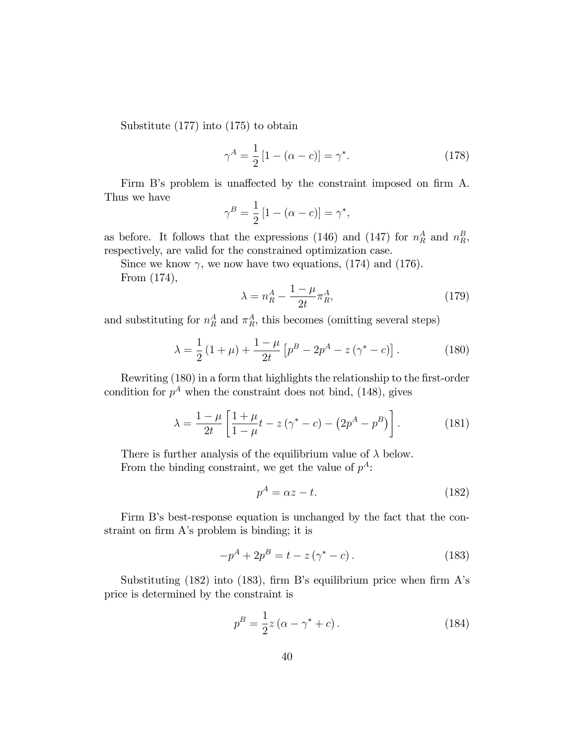Substitute (177) into (175) to obtain

$$
\gamma^A = \frac{1}{2} [1 - (\alpha - c)] = \gamma^*.
$$
 (178)

Firm B's problem is unaffected by the constraint imposed on firm A. Thus we have

$$
\gamma^B = \frac{1}{2} \left[ 1 - (\alpha - c) \right] = \gamma^*,
$$

as before. It follows that the expressions (146) and (147) for  $n_R^A$  and  $n_R^B$ , respectively, are valid for the constrained optimization case.

Since we know  $\gamma$ , we now have two equations, (174) and (176).

From (174),

$$
\lambda = n_R^A - \frac{1 - \mu}{2t} \pi_R^A,\tag{179}
$$

and substituting for  $n_R^A$  and  $\pi_R^A$ , this becomes (omitting several steps)

$$
\lambda = \frac{1}{2} \left( 1 + \mu \right) + \frac{1 - \mu}{2t} \left[ p^B - 2p^A - z \left( \gamma^* - c \right) \right]. \tag{180}
$$

Rewriting (180) in a form that highlights the relationship to the first-order condition for  $p^A$  when the constraint does not bind, (148), gives

$$
\lambda = \frac{1 - \mu}{2t} \left[ \frac{1 + \mu}{1 - \mu} t - z \left( \gamma^* - c \right) - \left( 2p^A - p^B \right) \right]. \tag{181}
$$

There is further analysis of the equilibrium value of  $\lambda$  below. From the binding constraint, we get the value of  $p^A$ :

$$
p^A = \alpha z - t. \tag{182}
$$

Firm B's best-response equation is unchanged by the fact that the constraint on firm A's problem is binding; it is

$$
-p^{A} + 2p^{B} = t - z(\gamma^{*} - c).
$$
 (183)

Substituting  $(182)$  into  $(183)$ , firm B's equilibrium price when firm A's price is determined by the constraint is

$$
p^{B} = \frac{1}{2}z(\alpha - \gamma^* + c).
$$
 (184)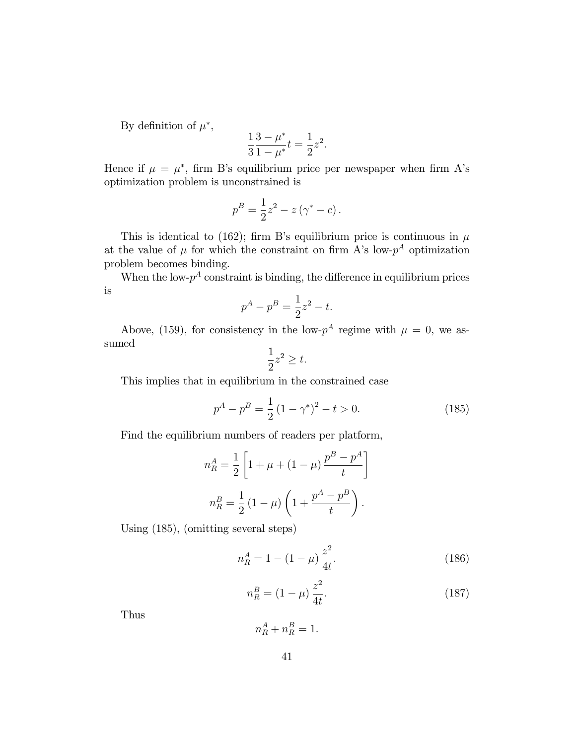By definition of  $\mu^*$ ,

$$
\frac{1}{3} \frac{3 - \mu^*}{1 - \mu^*} t = \frac{1}{2} z^2.
$$

Hence if  $\mu = \mu^*$ , firm B's equilibrium price per newspaper when firm A's optimization problem is unconstrained is

$$
p^{B} = \frac{1}{2}z^{2} - z(\gamma^{*} - c).
$$

This is identical to (162); firm B's equilibrium price is continuous in  $\mu$ at the value of  $\mu$  for which the constraint on firm A's low- $p^A$  optimization problem becomes binding.

When the low- $p^A$  constraint is binding, the difference in equilibrium prices is

$$
p^A - p^B = \frac{1}{2}z^2 - t.
$$

Above, (159), for consistency in the low- $p^A$  regime with  $\mu = 0$ , we assumed

$$
\frac{1}{2}z^2 \ge t.
$$

This implies that in equilibrium in the constrained case

$$
p^{A} - p^{B} = \frac{1}{2} (1 - \gamma^{*})^{2} - t > 0.
$$
 (185)

Find the equilibrium numbers of readers per platform,

$$
n_R^A = \frac{1}{2} \left[ 1 + \mu + (1 - \mu) \frac{p^B - p^A}{t} \right]
$$
  

$$
n_R^B = \frac{1}{2} (1 - \mu) \left( 1 + \frac{p^A - p^B}{t} \right).
$$

Using (185), (omitting several steps)

$$
n_R^A = 1 - (1 - \mu) \frac{z^2}{4t}.
$$
\n(186)

$$
n_R^B = (1 - \mu) \frac{z^2}{4t}.
$$
\n(187)

Thus

 $n_R^A + n_R^B = 1.$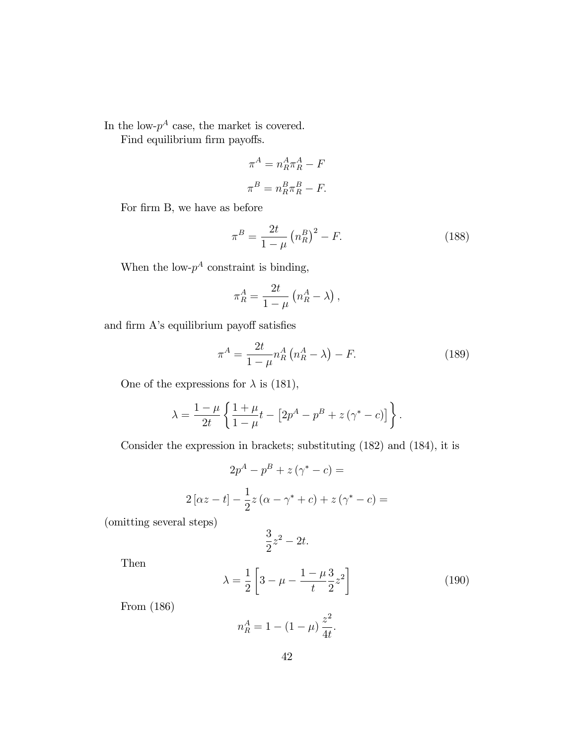In the low- $p^A$  case, the market is covered.

Find equilibrium firm payoffs.

$$
\pi^A = n_R^A \pi_R^A - F
$$
  

$$
\pi^B = n_R^B \pi_R^B - F.
$$

For firm B, we have as before

$$
\pi^B = \frac{2t}{1-\mu} \left( n_R^B \right)^2 - F. \tag{188}
$$

When the low- $p^A$  constraint is binding,

$$
\pi_R^A = \frac{2t}{1-\mu} \left( n_R^A - \lambda \right),
$$

and firm A's equilibrium payoff satisfies

$$
\pi^A = \frac{2t}{1-\mu} n_R^A \left( n_R^A - \lambda \right) - F. \tag{189}
$$

One of the expressions for  $\lambda$  is (181),

$$
\lambda = \frac{1-\mu}{2t} \left\{ \frac{1+\mu}{1-\mu} t - \left[ 2p^A - p^B + z(\gamma^* - c) \right] \right\}.
$$

Consider the expression in brackets; substituting (182) and (184), it is

$$
2p^{A} - p^{B} + z(\gamma^{*} - c) =
$$
  

$$
2[\alpha z - t] - \frac{1}{2}z(\alpha - \gamma^{*} + c) + z(\gamma^{*} - c) =
$$

(omitting several steps)

$$
\frac{3}{2}z^2 - 2t.
$$

Then

$$
\lambda = \frac{1}{2} \left[ 3 - \mu - \frac{1 - \mu}{t} \frac{3}{2} z^2 \right]
$$
 (190)

From (186)

$$
n_R^A = 1 - (1 - \mu) \frac{z^2}{4t}.
$$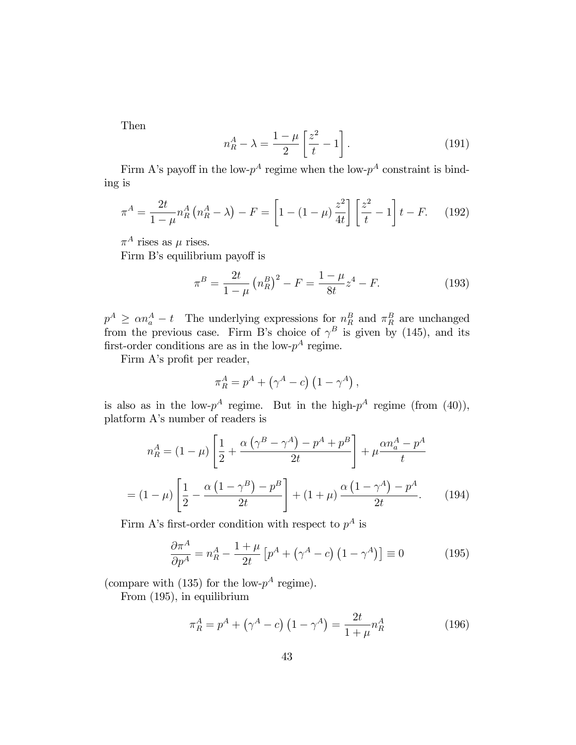Then

$$
n_R^A - \lambda = \frac{1 - \mu}{2} \left[ \frac{z^2}{t} - 1 \right]. \tag{191}
$$

Firm A's payoff in the low- $p^A$  regime when the low- $p^A$  constraint is binding is

$$
\pi^A = \frac{2t}{1-\mu} n_R^A \left( n_R^A - \lambda \right) - F = \left[ 1 - (1-\mu) \frac{z^2}{4t} \right] \left[ \frac{z^2}{t} - 1 \right] t - F. \tag{192}
$$

 $\pi^A$  rises as  $\mu$  rises.

Firm B's equilibrium payoff is

$$
\pi^B = \frac{2t}{1-\mu} \left( n_R^B \right)^2 - F = \frac{1-\mu}{8t} z^4 - F. \tag{193}
$$

 $p^A \geq \alpha n_a^A - t$  The underlying expressions for  $n_R^B$  and  $\pi_R^B$  are unchanged from the previous case. Firm B's choice of  $\gamma^B$  is given by (145), and its first-order conditions are as in the low- $p^A$  regime.

Firm A's profit per reader,

$$
\pi_R^A = p^A + (\gamma^A - c) (1 - \gamma^A),
$$

is also as in the low- $p^A$  regime. But in the high- $p^A$  regime (from (40)), platform A's number of readers is

$$
n_R^A = (1 - \mu) \left[ \frac{1}{2} + \frac{\alpha \left( \gamma^B - \gamma^A \right) - p^A + p^B}{2t} \right] + \mu \frac{\alpha n_a^A - p^A}{t}
$$

$$
= (1 - \mu) \left[ \frac{1}{2} - \frac{\alpha \left( 1 - \gamma^B \right) - p^B}{2t} \right] + (1 + \mu) \frac{\alpha \left( 1 - \gamma^A \right) - p^A}{2t}.
$$
(194)

Firm A's first-order condition with respect to  $p^A$  is

$$
\frac{\partial \pi^A}{\partial p^A} = n_R^A - \frac{1+\mu}{2t} \left[ p^A + \left( \gamma^A - c \right) \left( 1 - \gamma^A \right) \right] \equiv 0 \tag{195}
$$

(compare with (135) for the low- $p^A$  regime).

From (195), in equilibrium

$$
\pi_R^A = p^A + (\gamma^A - c) (1 - \gamma^A) = \frac{2t}{1 + \mu} n_R^A \tag{196}
$$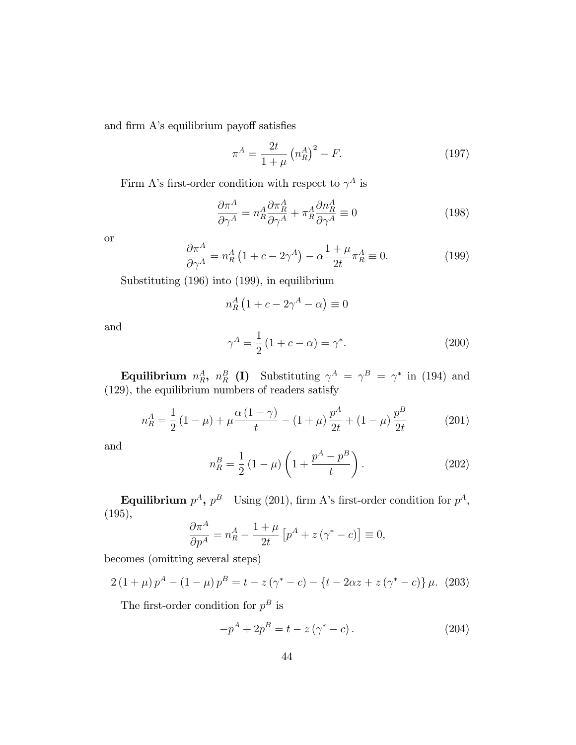and firm  $A$ 's equilibrium payoff satisfies

$$
\pi^A = \frac{2t}{1+\mu} \left( n_R^A \right)^2 - F.
$$
 (197)

Firm A's first-order condition with respect to  $\gamma^A$  is

$$
\frac{\partial \pi^A}{\partial \gamma^A} = n_R^A \frac{\partial \pi_R^A}{\partial \gamma^A} + \pi_R^A \frac{\partial n_R^A}{\partial \gamma^A} \equiv 0 \tag{198}
$$

or

$$
\frac{\partial \pi^A}{\partial \gamma^A} = n_R^A \left( 1 + c - 2\gamma^A \right) - \alpha \frac{1 + \mu}{2t} \pi_R^A \equiv 0. \tag{199}
$$

Substituting (196) into (199), in equilibrium

$$
n_R^A \left( 1 + c - 2\gamma^A - \alpha \right) \equiv 0
$$

and

$$
\gamma^A = \frac{1}{2} (1 + c - \alpha) = \gamma^*.
$$
 (200)

**Equilibrium**  $n_R^A$ ,  $n_R^B$  (I) Substituting  $\gamma^A = \gamma^B = \gamma^*$  in (194) and (129), the equilibrium numbers of readers satisfy

$$
n_R^A = \frac{1}{2} \left( 1 - \mu \right) + \mu \frac{\alpha \left( 1 - \gamma \right)}{t} - \left( 1 + \mu \right) \frac{p^A}{2t} + \left( 1 - \mu \right) \frac{p^B}{2t}
$$
 (201)

and

$$
n_R^B = \frac{1}{2} (1 - \mu) \left( 1 + \frac{p^A - p^B}{t} \right).
$$
 (202)

Equilibrium  $p^A$ ,  $p^B$  Using (201), firm A's first-order condition for  $p^A$ , (195),

$$
\frac{\partial \pi^A}{\partial p^A} = n_R^A - \frac{1+\mu}{2t} \left[ p^A + z \left( \gamma^* - c \right) \right] \equiv 0,
$$

becomes (omitting several steps)

$$
2(1+\mu)p^{A} - (1-\mu)p^{B} = t - z(\gamma^{*} - c) - \{t - 2\alpha z + z(\gamma^{*} - c)\}\mu.
$$
 (203)

The first-order condition for  $p^B$  is

$$
-p^{A} + 2p^{B} = t - z(\gamma^{*} - c).
$$
 (204)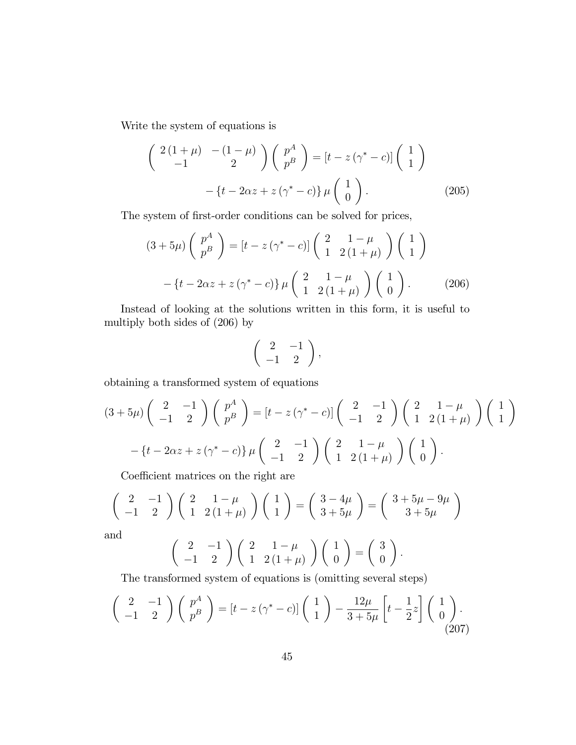Write the system of equations is

$$
\begin{pmatrix} 2(1+\mu) & -(1-\mu) \\ -1 & 2 \end{pmatrix} \begin{pmatrix} p^A \\ p^B \end{pmatrix} = [t - z(\gamma^* - c)] \begin{pmatrix} 1 \\ 1 \end{pmatrix}
$$

$$
- \{t - 2\alpha z + z(\gamma^* - c)\} \mu \begin{pmatrix} 1 \\ 0 \end{pmatrix}.
$$
 (205)

The system of first-order conditions can be solved for prices,

$$
(3+5\mu)\begin{pmatrix}p^A\\p^B\end{pmatrix} = \left[t - z\left(\gamma^* - c\right)\right] \begin{pmatrix}2 & 1-\mu\\1 & 2\left(1+\mu\right)\end{pmatrix} \begin{pmatrix}1\\1\end{pmatrix}
$$

$$
-\left\{t - 2\alpha z + z\left(\gamma^* - c\right)\right\} \mu \begin{pmatrix}2 & 1-\mu\\1 & 2\left(1+\mu\right)\end{pmatrix} \begin{pmatrix}1\\0\end{pmatrix}.
$$
 (206)

Instead of looking at the solutions written in this form, it is useful to multiply both sides of (206) by

$$
\left(\begin{array}{cc}2 & -1\\-1 & 2\end{array}\right),
$$

obtaining a transformed system of equations

$$
(3+5\mu)\begin{pmatrix} 2 & -1 \ -1 & 2 \end{pmatrix}\begin{pmatrix} p^A \ p^B \end{pmatrix} = \begin{bmatrix} t-z(\gamma^*-c) \end{bmatrix}\begin{pmatrix} 2 & -1 \ -1 & 2 \end{pmatrix}\begin{pmatrix} 2 & 1-\mu \ 1 & 2(1+\mu) \end{pmatrix}\begin{pmatrix} 1 \ 1 \end{pmatrix}
$$

$$
-\{t-2\alpha z+z(\gamma^*-c)\}\mu\begin{pmatrix} 2 & -1 \ -1 & 2 \end{pmatrix}\begin{pmatrix} 2 & 1-\mu \ 1 & 2(1+\mu) \end{pmatrix}\begin{pmatrix} 1 \ 0 \end{pmatrix}.
$$

Coefficient matrices on the right are

$$
\begin{pmatrix} 2 & -1 \ -1 & 2 \end{pmatrix} \begin{pmatrix} 2 & 1-\mu \ 1 & 2(1+\mu) \end{pmatrix} \begin{pmatrix} 1 \ 1 \end{pmatrix} = \begin{pmatrix} 3-4\mu \ 3+5\mu \end{pmatrix} = \begin{pmatrix} 3+5\mu-9\mu \ 3+5\mu \end{pmatrix}
$$
and

 $\rm{a}$ 

$$
\left(\begin{array}{cc}2 & -1 \\ -1 & 2\end{array}\right)\left(\begin{array}{cc}2 & 1-\mu \\ 1 & 2(1+\mu)\end{array}\right)\left(\begin{array}{c}1 \\ 0\end{array}\right)=\left(\begin{array}{c}3 \\ 0\end{array}\right).
$$

The transformed system of equations is (omitting several steps)

$$
\begin{pmatrix} 2 & -1 \ -1 & 2 \end{pmatrix} \begin{pmatrix} p^A \\ p^B \end{pmatrix} = \left[ t - z \left( \gamma^* - c \right) \right] \begin{pmatrix} 1 \\ 1 \end{pmatrix} - \frac{12\mu}{3 + 5\mu} \left[ t - \frac{1}{2} z \right] \begin{pmatrix} 1 \\ 0 \end{pmatrix} . \tag{207}
$$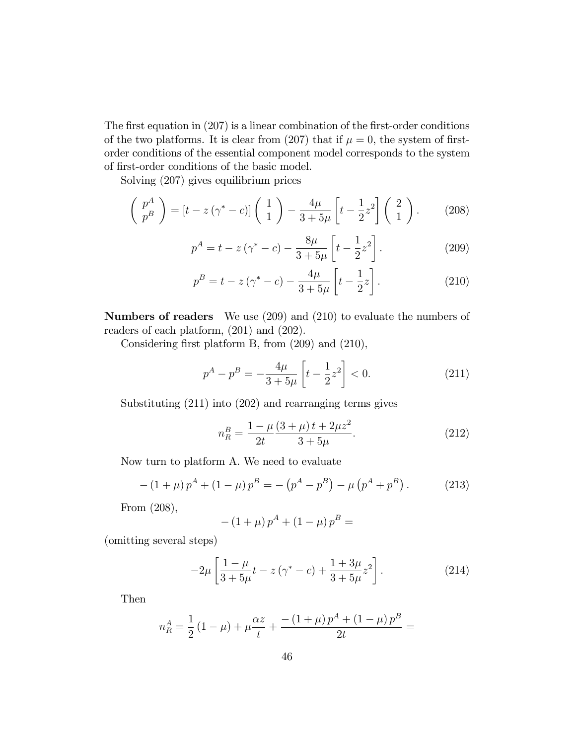The first equation in  $(207)$  is a linear combination of the first-order conditions of the two platforms. It is clear from (207) that if  $\mu = 0$ , the system of firstorder conditions of the essential component model corresponds to the system of first-order conditions of the basic model.

Solving (207) gives equilibrium prices

$$
\begin{pmatrix} p^A \\ p^B \end{pmatrix} = \left[ t - z \left( \gamma^* - c \right) \right] \begin{pmatrix} 1 \\ 1 \end{pmatrix} - \frac{4\mu}{3 + 5\mu} \left[ t - \frac{1}{2} z^2 \right] \begin{pmatrix} 2 \\ 1 \end{pmatrix} . \tag{208}
$$

$$
p^{A} = t - z(\gamma^{*} - c) - \frac{8\mu}{3 + 5\mu} \left[ t - \frac{1}{2}z^{2} \right].
$$
 (209)

$$
p^{B} = t - z(\gamma^{*} - c) - \frac{4\mu}{3 + 5\mu} \left[ t - \frac{1}{2}z \right].
$$
 (210)

Numbers of readers We use (209) and (210) to evaluate the numbers of readers of each platform, (201) and (202).

Considering first platform B, from  $(209)$  and  $(210)$ ,

$$
p^{A} - p^{B} = -\frac{4\mu}{3+5\mu} \left[ t - \frac{1}{2} z^{2} \right] < 0.
$$
 (211)

Substituting (211) into (202) and rearranging terms gives

$$
n_R^B = \frac{1 - \mu}{2t} \frac{(3 + \mu)t + 2\mu z^2}{3 + 5\mu}.
$$
\n(212)

Now turn to platform A. We need to evaluate

$$
-(1+\mu)p^{A} + (1-\mu)p^{B} = -(p^{A} - p^{B}) - \mu(p^{A} + p^{B}).
$$
\n(213)

From (208),

$$
- (1 + \mu) p^{A} + (1 - \mu) p^{B} =
$$

(omitting several steps)

$$
-2\mu \left[ \frac{1-\mu}{3+5\mu} t - z(\gamma^* - c) + \frac{1+3\mu}{3+5\mu} z^2 \right].
$$
 (214)

Then

$$
n_R^A = \frac{1}{2} (1 - \mu) + \mu \frac{\alpha z}{t} + \frac{-(1 + \mu) p^A + (1 - \mu) p^B}{2t} =
$$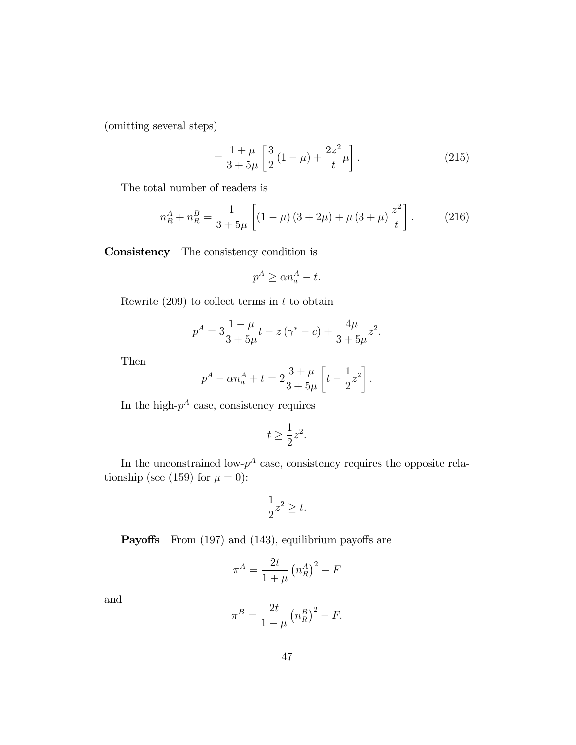(omitting several steps)

$$
= \frac{1+\mu}{3+5\mu} \left[ \frac{3}{2} \left( 1-\mu \right) + \frac{2z^2}{t} \mu \right].
$$
 (215)

The total number of readers is

$$
n_R^A + n_R^B = \frac{1}{3+5\mu} \left[ (1-\mu)(3+2\mu) + \mu(3+\mu)\frac{z^2}{t} \right].
$$
 (216)

Consistency The consistency condition is

$$
p^A \ge \alpha n_a^A - t.
$$

Rewrite  $(209)$  to collect terms in t to obtain

$$
p^{A} = 3\frac{1-\mu}{3+5\mu}t - z(\gamma^{*} - c) + \frac{4\mu}{3+5\mu}z^{2}.
$$

Then

$$
p^{A} - \alpha n_{a}^{A} + t = 2 \frac{3 + \mu}{3 + 5\mu} \left[ t - \frac{1}{2} z^{2} \right].
$$

In the high- $p^A$  case, consistency requires

$$
t \ge \frac{1}{2}z^2.
$$

In the unconstrained low- $p^A$  case, consistency requires the opposite relationship (see (159) for  $\mu = 0$ ):

$$
\frac{1}{2}z^2 \ge t.
$$

**Payoffs** From  $(197)$  and  $(143)$ , equilibrium payoffs are

$$
\pi^A = \frac{2t}{1+\mu} \left( n_R^A \right)^2 - F
$$

and

$$
\pi^B = \frac{2t}{1-\mu} \left( n_R^B \right)^2 - F.
$$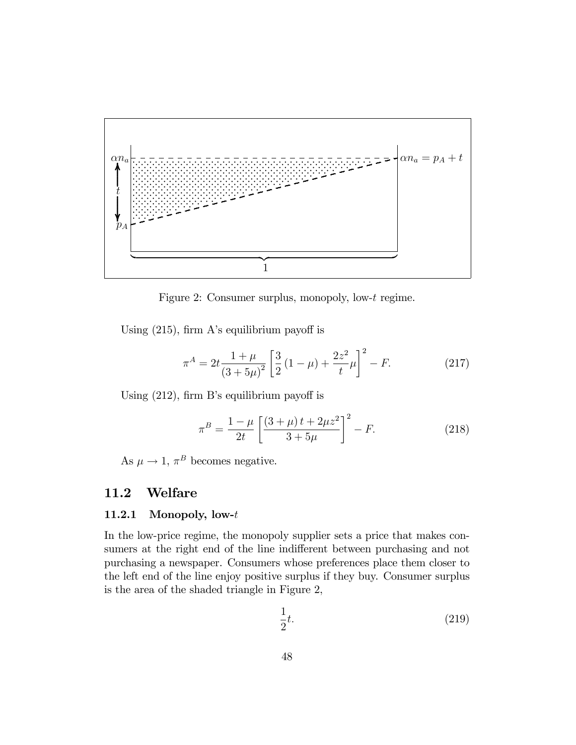

Figure 2: Consumer surplus, monopoly, low-t regime.

Using  $(215)$ , firm A's equilibrium payoff is

$$
\pi^{A} = 2t \frac{1+\mu}{\left(3+5\mu\right)^{2}} \left[\frac{3}{2} \left(1-\mu\right) + \frac{2z^{2}}{t} \mu\right]^{2} - F.
$$
 (217)

Using  $(212)$ , firm B's equilibrium payoff is

$$
\pi^B = \frac{1-\mu}{2t} \left[ \frac{(3+\mu)t + 2\mu z^2}{3+5\mu} \right]^2 - F.
$$
 (218)

As  $\mu \to 1$ ,  $\pi^B$  becomes negative.

#### Welfare 11.2

#### 11.2.1 Monopoly, low-t

In the low-price regime, the monopoly supplier sets a price that makes consumers at the right end of the line indifferent between purchasing and not purchasing a newspaper. Consumers whose preferences place them closer to the left end of the line enjoy positive surplus if they buy. Consumer surplus is the area of the shaded triangle in Figure 2,

$$
\frac{1}{2}t.\tag{219}
$$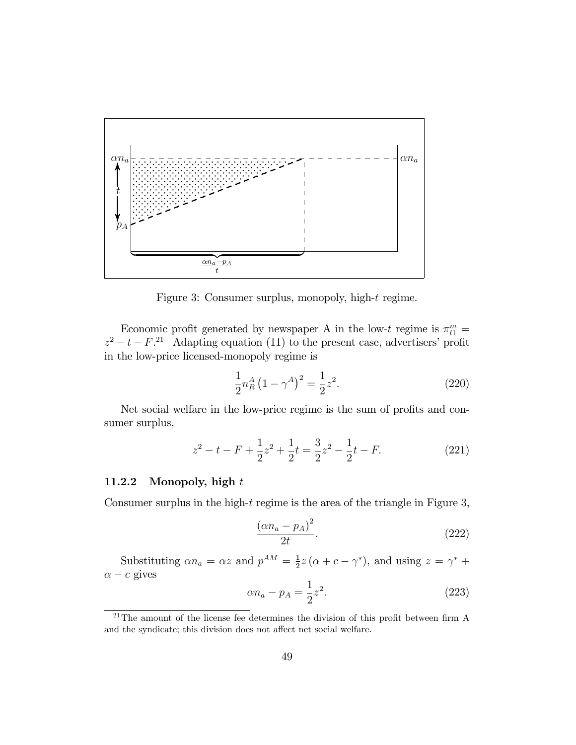

Figure 3: Consumer surplus, monopoly, high-t regime.

Economic profit generated by newspaper A in the low-t regime is  $\pi_{l1}^m$  =  $z^2 - t - F$ <sup>21</sup> Adapting equation (11) to the present case, advertisers' profit in the low-price licensed-monopoly regime is

$$
\frac{1}{2}n_R^A (1 - \gamma^A)^2 = \frac{1}{2}z^2.
$$
\n(220)

Net social welfare in the low-price regime is the sum of profits and consumer surplus,

$$
z^{2} - t - F + \frac{1}{2}z^{2} + \frac{1}{2}t = \frac{3}{2}z^{2} - \frac{1}{2}t - F.
$$
 (221)

#### 11.2.2 Monopoly, high  $t$

Consumer surplus in the high- $t$  regime is the area of the triangle in Figure 3,

$$
\frac{\left(\alpha n_a - p_A\right)^2}{2t}.\tag{222}
$$

Substituting  $\alpha n_a = \alpha z$  and  $p^{AM} = \frac{1}{2}z(\alpha + c - \gamma^*)$ , and using  $z = \gamma^*$  +  $\alpha - c$  gives

$$
\alpha n_a - p_A = \frac{1}{2} z^2.
$$
 (223)

<sup>&</sup>lt;sup>21</sup>The amount of the license fee determines the division of this profit between firm A and the syndicate; this division does not affect net social welfare.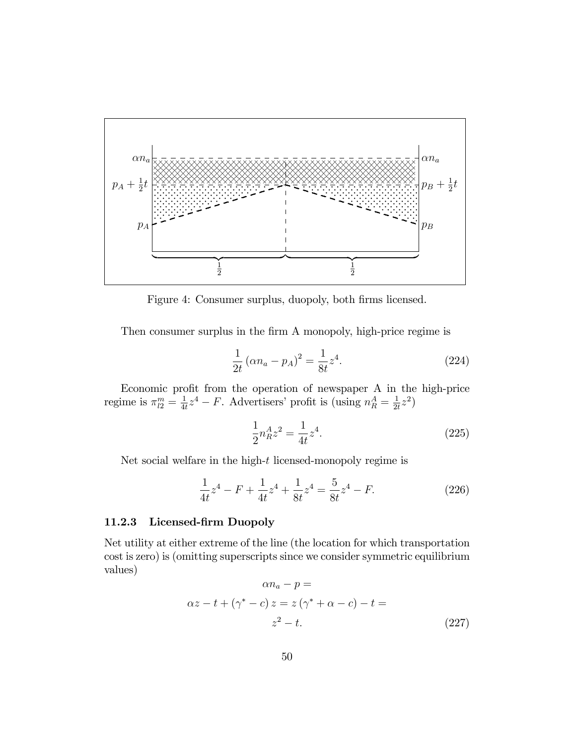

Figure 4: Consumer surplus, duopoly, both firms licensed.

Then consumer surplus in the firm A monopoly, high-price regime is

$$
\frac{1}{2t} \left( \alpha n_a - p_A \right)^2 = \frac{1}{8t} z^4.
$$
 (224)

Economic profit from the operation of newspaper A in the high-price regime is  $\pi_{l2}^m = \frac{1}{4l}$  $\frac{1}{4t}z^4 - F$ . Advertisers' profit is (using  $n_R^A = \frac{1}{2t}$  $\frac{1}{2t}z^2$ 

$$
\frac{1}{2}n_A^A z^2 = \frac{1}{4t}z^4.
$$
\n(225)

Net social welfare in the high-t licensed-monopoly regime is

$$
\frac{1}{4t}z^4 - F + \frac{1}{4t}z^4 + \frac{1}{8t}z^4 = \frac{5}{8t}z^4 - F.
$$
 (226)

### 11.2.3 Licensed-firm Duopoly

Net utility at either extreme of the line (the location for which transportation cost is zero) is (omitting superscripts since we consider symmetric equilibrium values)

$$
\alpha n_a - p =
$$
  
\n
$$
\alpha z - t + (\gamma^* - c) z = z (\gamma^* + \alpha - c) - t =
$$
  
\n
$$
z^2 - t.
$$
\n(227)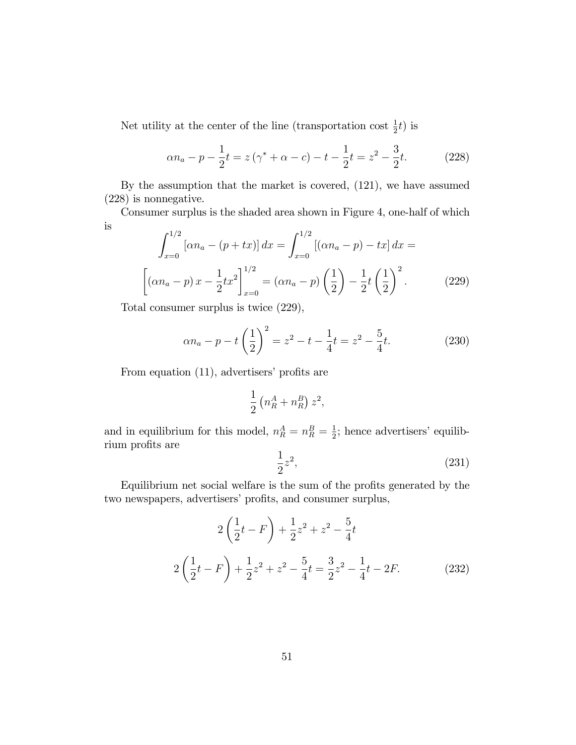Net utility at the center of the line (transportation cost  $\frac{1}{2}t$ ) is

$$
\alpha n_a - p - \frac{1}{2}t = z(\gamma^* + \alpha - c) - t - \frac{1}{2}t = z^2 - \frac{3}{2}t.
$$
 (228)

By the assumption that the market is covered, (121), we have assumed (228) is nonnegative.

Consumer surplus is the shaded area shown in Figure 4, one-half of which is

$$
\int_{x=0}^{1/2} \left[ \alpha n_a - (p+tx) \right] dx = \int_{x=0}^{1/2} \left[ (\alpha n_a - p) - tx \right] dx =
$$

$$
\left[ (\alpha n_a - p) x - \frac{1}{2} tx^2 \right]_{x=0}^{1/2} = (\alpha n_a - p) \left( \frac{1}{2} \right) - \frac{1}{2} t \left( \frac{1}{2} \right)^2.
$$
(229)

Total consumer surplus is twice (229),

$$
\alpha n_a - p - t \left(\frac{1}{2}\right)^2 = z^2 - t - \frac{1}{4}t = z^2 - \frac{5}{4}t.
$$
 (230)

From equation  $(11)$ , advertisers' profits are

$$
\frac{1}{2}\left(n_R^A + n_R^B\right)z^2,
$$

and in equilibrium for this model,  $n_R^A = n_R^B = \frac{1}{2}$  $\frac{1}{2}$ ; hence advertisers' equilibrium profits are

$$
\frac{1}{2}z^2,\tag{231}
$$

Equilibrium net social welfare is the sum of the profits generated by the two newspapers, advertisers' profits, and consumer surplus,

$$
2\left(\frac{1}{2}t - F\right) + \frac{1}{2}z^2 + z^2 - \frac{5}{4}t
$$
  

$$
2\left(\frac{1}{2}t - F\right) + \frac{1}{2}z^2 + z^2 - \frac{5}{4}t = \frac{3}{2}z^2 - \frac{1}{4}t - 2F.
$$
 (232)